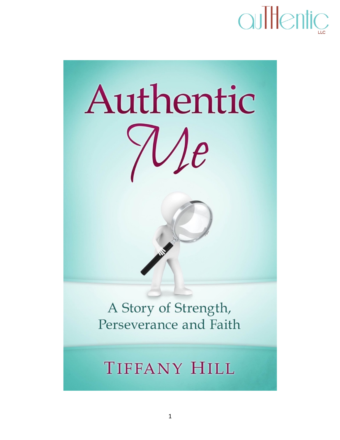



A Story of Strength, Perseverance and Faith

### **TIFFANY HILL**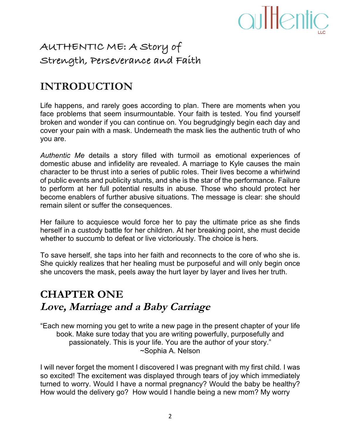

### **AUTHENTIC ME: A Story of Strength, Perseverance and Faith**

### **INTRODUCTION**

Life happens, and rarely goes according to plan. There are moments when you face problems that seem insurmountable. Your faith is tested. You find yourself broken and wonder if you can continue on. You begrudgingly begin each day and cover your pain with a mask. Underneath the mask lies the authentic truth of who you are.

*Authentic Me* details a story filled with turmoil as emotional experiences of domestic abuse and infidelity are revealed. A marriage to Kyle causes the main character to be thrust into a series of public roles. Their lives become a whirlwind of public events and publicity stunts, and she is the star of the performance. Failure to perform at her full potential results in abuse. Those who should protect her become enablers of further abusive situations. The message is clear: she should remain silent or suffer the consequences.

Her failure to acquiesce would force her to pay the ultimate price as she finds herself in a custody battle for her children. At her breaking point, she must decide whether to succumb to defeat or live victoriously. The choice is hers.

To save herself, she taps into her faith and reconnects to the core of who she is. She quickly realizes that her healing must be purposeful and will only begin once she uncovers the mask, peels away the hurt layer by layer and lives her truth.

#### **CHAPTER ONE Love, Marriage and a Baby Carriage**

"Each new morning you get to write a new page in the present chapter of your life book. Make sure today that you are writing powerfully, purposefully and passionately. This is your life. You are the author of your story." ~Sophia A. Nelson

I will never forget the moment I discovered I was pregnant with my first child. I was so excited! The excitement was displayed through tears of joy which immediately turned to worry. Would I have a normal pregnancy? Would the baby be healthy? How would the delivery go? How would I handle being a new mom? My worry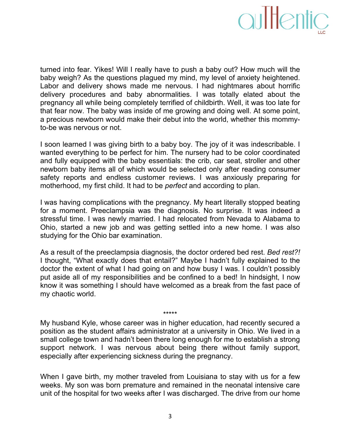

turned into fear. Yikes! Will I really have to push a baby out? How much will the baby weigh? As the questions plagued my mind, my level of anxiety heightened. Labor and delivery shows made me nervous. I had nightmares about horrific delivery procedures and baby abnormalities. I was totally elated about the pregnancy all while being completely terrified of childbirth. Well, it was too late for that fear now. The baby was inside of me growing and doing well. At some point, a precious newborn would make their debut into the world, whether this mommyto-be was nervous or not.

I soon learned I was giving birth to a baby boy. The joy of it was indescribable. I wanted everything to be perfect for him. The nursery had to be color coordinated and fully equipped with the baby essentials: the crib, car seat, stroller and other newborn baby items all of which would be selected only after reading consumer safety reports and endless customer reviews. I was anxiously preparing for motherhood, my first child. It had to be *perfect* and according to plan.

I was having complications with the pregnancy. My heart literally stopped beating for a moment. Preeclampsia was the diagnosis. No surprise. It was indeed a stressful time. I was newly married. I had relocated from Nevada to Alabama to Ohio, started a new job and was getting settled into a new home. I was also studying for the Ohio bar examination.

As a result of the preeclampsia diagnosis, the doctor ordered bed rest. *Bed rest?!* I thought, "What exactly does that entail?" Maybe I hadn't fully explained to the doctor the extent of what I had going on and how busy I was. I couldn't possibly put aside all of my responsibilities and be confined to a bed! In hindsight, I now know it was something I should have welcomed as a break from the fast pace of my chaotic world.

My husband Kyle, whose career was in higher education, had recently secured a position as the student affairs administrator at a university in Ohio. We lived in a small college town and hadn't been there long enough for me to establish a strong support network. I was nervous about being there without family support, especially after experiencing sickness during the pregnancy.

\*\*\*\*\*

When I gave birth, my mother traveled from Louisiana to stay with us for a few weeks. My son was born premature and remained in the neonatal intensive care unit of the hospital for two weeks after I was discharged. The drive from our home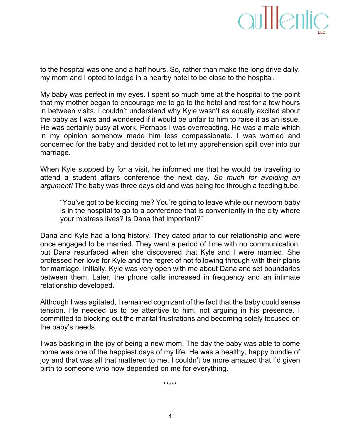to the hospital was one and a half hours. So, rather than make the long drive daily, my mom and I opted to lodge in a nearby hotel to be close to the hospital.

My baby was perfect in my eyes. I spent so much time at the hospital to the point that my mother began to encourage me to go to the hotel and rest for a few hours in between visits. I couldn't understand why Kyle wasn't as equally excited about the baby as I was and wondered if it would be unfair to him to raise it as an issue. He was certainly busy at work. Perhaps I was overreacting. He was a male which in my opinion somehow made him less compassionate. I was worried and concerned for the baby and decided not to let my apprehension spill over into our marriage.

When Kyle stopped by for a visit, he informed me that he would be traveling to attend a student affairs conference the next day. So much for avoiding an argument! The baby was three days old and was being fed through a feeding tube.

"You've got to be kidding me? You're going to leave while our newborn baby is in the hospital to go to a conference that is conveniently in the city where your mistress lives? Is Dana that important?"

Dana and Kyle had a long history. They dated prior to our relationship and were once engaged to be married. They went a period of time with no communication, but Dana resurfaced when she discovered that Kyle and I were married. She professed her love for Kyle and the regret of not following through with their plans for marriage. Initially, Kyle was very open with me about Dana and set boundaries between them. Later, the phone calls increased in frequency and an intimate relationship developed.

Although I was agitated, I remained cognizant of the fact that the baby could sense tension. He needed us to be attentive to him, not arguing in his presence. I committed to blocking out the marital frustrations and becoming solely focused on the baby's needs.

I was basking in the joy of being a new mom. The day the baby was able to come home was one of the happiest days of my life. He was a healthy, happy bundle of joy and that was all that mattered to me. I couldn't be more amazed that I'd given birth to someone who now depended on me for everything.

\*\*\*\*\*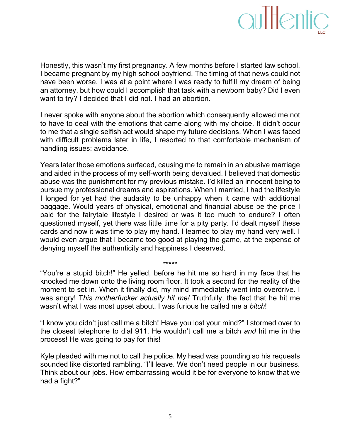### aultentic

Honestly, this wasn't my first pregnancy. A few months before I started law school, I became pregnant by my high school boyfriend. The timing of that news could not have been worse. I was at a point where I was ready to fulfill my dream of being an attorney, but how could I accomplish that task with a newborn baby? Did I even want to try? I decided that I did not. I had an abortion.

I never spoke with anyone about the abortion which consequently allowed me not to have to deal with the emotions that came along with my choice. It didn't occur to me that a single selfish act would shape my future decisions. When I was faced with difficult problems later in life, I resorted to that comfortable mechanism of handling issues: avoidance.

Years later those emotions surfaced, causing me to remain in an abusive marriage and aided in the process of my self-worth being devalued. I believed that domestic abuse was the punishment for my previous mistake. I'd killed an innocent being to pursue my professional dreams and aspirations. When I married, I had the lifestyle I longed for yet had the audacity to be unhappy when it came with additional baggage. Would years of physical, emotional and financial abuse be the price I paid for the fairytale lifestyle I desired or was it too much to endure? I often questioned myself, yet there was little time for a pity party. I'd dealt myself these cards and now it was time to play my hand. I learned to play my hand very well. I would even argue that I became too good at playing the game, at the expense of denying myself the authenticity and happiness I deserved.

"You're a stupid bitch!" He yelled, before he hit me so hard in my face that he knocked me down onto the living room floor. It took a second for the reality of the moment to set in. When it finally did, my mind immediately went into overdrive. I was angry! This motherfucker actually hit me! Truthfully, the fact that he hit me wasn't what I was most upset about. I was furious he called me a *bitch*!

\*\*\*\*\*

"I know you didn't just call me a bitch! Have you lost your mind?" I stormed over to the closest telephone to dial 911. He wouldn't call me a bitch *and* hit me in the process! He was going to pay for this!

Kyle pleaded with me not to call the police. My head was pounding so his requests sounded like distorted rambling. "I'll leave. We don't need people in our business. Think about our jobs. How embarrassing would it be for everyone to know that we had a fight?"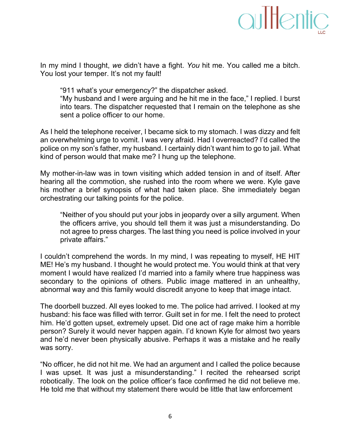

In my mind I thought, we didn't have a fight. You hit me. You called me a bitch. You lost your temper. It's not my fault!

"911 what's your emergency?" the dispatcher asked. "My husband and I were arguing and he hit me in the face," I replied. I burst into tears. The dispatcher requested that I remain on the telephone as she sent a police officer to our home.

As I held the telephone receiver, I became sick to my stomach. I was dizzy and felt an overwhelming urge to vomit. I was very afraid. Had I overreacted? I'd called the police on my son's father, my husband. I certainly didn't want him to go to jail. What kind of person would that make me? I hung up the telephone.

My mother-in-law was in town visiting which added tension in and of itself. After hearing all the commotion, she rushed into the room where we were. Kyle gave his mother a brief synopsis of what had taken place. She immediately began orchestrating our talking points for the police.

"Neither of you should put your jobs in jeopardy over a silly argument. When the officers arrive, you should tell them it was just a misunderstanding. Do not agree to press charges. The last thing you need is police involved in your private affairs."

I couldn't comprehend the words. In my mind, I was repeating to myself, HE HIT ME! He's my husband. I thought he would protect me. You would think at that very moment I would have realized I'd married into a family where true happiness was secondary to the opinions of others. Public image mattered in an unhealthy, abnormal way and this family would discredit anyone to keep that image intact.

The doorbell buzzed. All eyes looked to me. The police had arrived. I looked at my husband: his face was filled with terror. Guilt set in for me. I felt the need to protect him. He'd gotten upset, extremely upset. Did one act of rage make him a horrible person? Surely it would never happen again. I'd known Kyle for almost two years and he'd never been physically abusive. Perhaps it was a mistake and he really was sorry.

"No officer, he did not hit me. We had an argument and I called the police because I was upset. It was just a misunderstanding." I recited the rehearsed script robotically. The look on the police officer's face confirmed he did not believe me. He told me that without my statement there would be little that law enforcement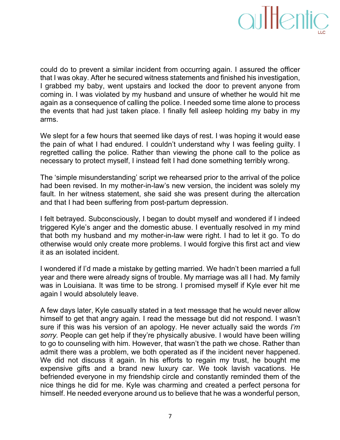

could do to prevent a similar incident from occurring again. I assured the officer that I was okay. After he secured witness statements and finished his investigation, I grabbed my baby, went upstairs and locked the door to prevent anyone from coming in. I was violated by my husband and unsure of whether he would hit me again as a consequence of calling the police. I needed some time alone to process the events that had just taken place. I finally fell asleep holding my baby in my arms.!

We slept for a few hours that seemed like days of rest. I was hoping it would ease the pain of what I had endured. I couldn't understand why I was feeling guilty. I regretted calling the police. Rather than viewing the phone call to the police as necessary to protect myself, I instead felt I had done something terribly wrong.

The 'simple misunderstanding' script we rehearsed prior to the arrival of the police had been revised. In my mother-in-law's new version, the incident was solely my fault. In her witness statement, she said she was present during the altercation and that I had been suffering from post-partum depression.

I felt betrayed. Subconsciously, I began to doubt myself and wondered if I indeed triggered Kyle's anger and the domestic abuse. I eventually resolved in my mind that both my husband and my mother-in-law were right. I had to let it go. To do otherwise would only create more problems. I would forgive this first act and view it as an isolated incident.

I wondered if I'd made a mistake by getting married. We hadn't been married a full year and there were already signs of trouble. My marriage was all I had. My family was in Louisiana. It was time to be strong. I promised myself if Kyle ever hit me again I would absolutely leave.

A few days later, Kyle casually stated in a text message that he would never allow himself to get that angry again. I read the message but did not respond. I wasn't sure if this was his version of an apology. He never actually said the words *I'm sorry.* People can get help if they're physically abusive. I would have been willing to go to counseling with him. However, that wasn't the path we chose. Rather than admit there was a problem, we both operated as if the incident never happened. We did not discuss it again. In his efforts to regain my trust, he bought me expensive gifts and a brand new luxury car. We took lavish vacations. He befriended everyone in my friendship circle and constantly reminded them of the nice things he did for me. Kyle was charming and created a perfect persona for himself. He needed everyone around us to believe that he was a wonderful person,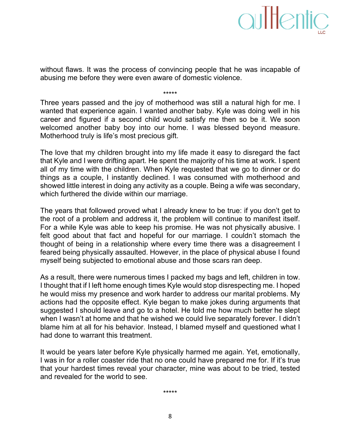without flaws. It was the process of convincing people that he was incapable of abusing me before they were even aware of domestic violence.

\*\*\*\*\*

Three years passed and the joy of motherhood was still a natural high for me. I wanted that experience again. I wanted another baby. Kyle was doing well in his career and figured if a second child would satisfy me then so be it. We soon welcomed another baby boy into our home. I was blessed beyond measure. Motherhood truly is life's most precious gift.

The love that my children brought into my life made it easy to disregard the fact that Kyle and I were drifting apart. He spent the majority of his time at work. I spent all of my time with the children. When Kyle requested that we go to dinner or do things as a couple, I instantly declined. I was consumed with motherhood and showed little interest in doing any activity as a couple. Being a wife was secondary, which furthered the divide within our marriage.

The years that followed proved what I already knew to be true: if you don't get to the root of a problem and address it, the problem will continue to manifest itself. For a while Kyle was able to keep his promise. He was not physically abusive. I felt good about that fact and hopeful for our marriage. I couldn't stomach the thought of being in a relationship where every time there was a disagreement I feared being physically assaulted. However, in the place of physical abuse I found myself being subjected to emotional abuse and those scars ran deep.

As a result, there were numerous times I packed my bags and left, children in tow. I thought that if I left home enough times Kyle would stop disrespecting me. I hoped he would miss my presence and work harder to address our marital problems. My actions had the opposite effect. Kyle began to make jokes during arguments that suggested I should leave and go to a hotel. He told me how much better he slept when I wasn't at home and that he wished we could live separately forever. I didn't blame him at all for his behavior. Instead, I blamed myself and questioned what I had done to warrant this treatment.

It would be years later before Kyle physically harmed me again. Yet, emotionally, I was in for a roller coaster ride that no one could have prepared me for. If it's true that your hardest times reveal your character, mine was about to be tried, tested and revealed for the world to see.

\*\*\*\*\*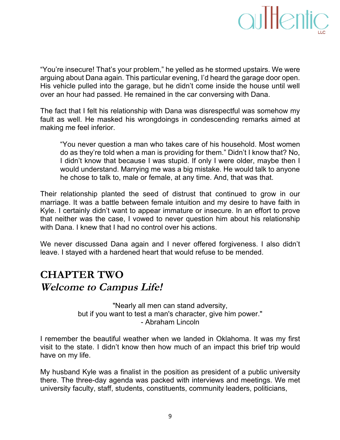

"You're insecure! That's your problem," he yelled as he stormed upstairs. We were arguing about Dana again. This particular evening, I'd heard the garage door open. His vehicle pulled into the garage, but he didn't come inside the house until well over an hour had passed. He remained in the car conversing with Dana.

The fact that I felt his relationship with Dana was disrespectful was somehow my fault as well. He masked his wrongdoings in condescending remarks aimed at making me feel inferior.

"You never question a man who takes care of his household. Most women!" do as they're told when a man is providing for them." Didn't I know that? No, I didn't know that because I was stupid. If only I were older, maybe then I would understand. Marrying me was a big mistake. He would talk to anyone he chose to talk to, male or female, at any time. And, that was that.

Their relationship planted the seed of distrust that continued to grow in our marriage. It was a battle between female intuition and my desire to have faith in Kyle. I certainly didn't want to appear immature or insecure. In an effort to prove that neither was the case, I vowed to never question him about his relationship with Dana. I knew that I had no control over his actions.

We never discussed Dana again and I never offered forgiveness. I also didn't leave. I stayed with a hardened heart that would refuse to be mended.

### **CHAPTER TWO Welcome to Campus Life!**

"Nearly all men can stand adversity, but if you want to test a man's character, give him power." - Abraham Lincoln

I remember the beautiful weather when we landed in Oklahoma. It was my first visit to the state. I didn't know then how much of an impact this brief trip would have on my life.

My husband Kyle was a finalist in the position as president of a public university there. The three-day agenda was packed with interviews and meetings. We met university faculty, staff, students, constituents, community leaders, politicians,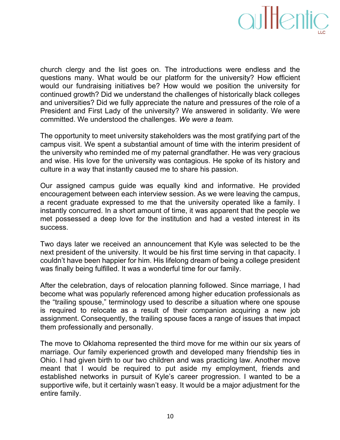

church clergy and the list goes on. The introductions were endless and the questions many. What would be our platform for the university? How efficient would our fundraising initiatives be? How would we position the university for continued growth? Did we understand the challenges of historically black colleges and universities? Did we fully appreciate the nature and pressures of the role of a President and First Lady of the university? We answered in solidarity. We were committed. We understood the challenges. We were a team.

The opportunity to meet university stakeholders was the most gratifying part of the campus visit. We spent a substantial amount of time with the interim president of the university who reminded me of my paternal grandfather. He was very gracious and wise. His love for the university was contagious. He spoke of its history and culture in a way that instantly caused me to share his passion.

Our assigned campus guide was equally kind and informative. He provided encouragement between each interview session. As we were leaving the campus, a recent graduate expressed to me that the university operated like a family. I instantly concurred. In a short amount of time, it was apparent that the people we met possessed a deep love for the institution and had a vested interest in its success.!

Two days later we received an announcement that Kyle was selected to be the next president of the university. It would be his first time serving in that capacity. I couldn't have been happier for him. His lifelong dream of being a college president was finally being fulfilled. It was a wonderful time for our family.

After the celebration, days of relocation planning followed. Since marriage, I had become what was popularly referenced among higher education professionals as the "trailing spouse," terminology used to describe a situation where one spouse is required to relocate as a result of their companion acquiring a new job assignment. Consequently, the trailing spouse faces a range of issues that impact them professionally and personally.

The move to Oklahoma represented the third move for me within our six years of marriage. Our family experienced growth and developed many friendship ties in Ohio. I had given birth to our two children and was practicing law. Another move meant that I would be required to put aside my employment, friends and established networks in pursuit of Kyle's career progression. I wanted to be a supportive wife, but it certainly wasn't easy. It would be a major adjustment for the entire family.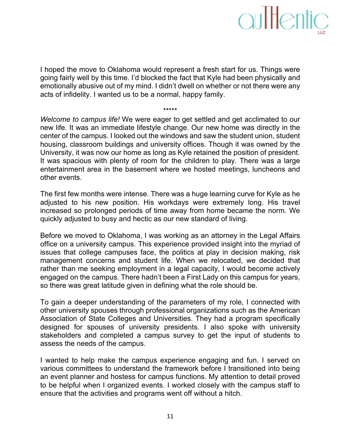I hoped the move to Oklahoma would represent a fresh start for us. Things were going fairly well by this time. I'd blocked the fact that Kyle had been physically and emotionally abusive out of my mind. I didn't dwell on whether or not there were any acts of infidelity. I wanted us to be a normal, happy family.

\*\*\*\*\*

*Welcome to campus life!* We were eager to get settled and get acclimated to our new life. It was an immediate lifestyle change. Our new home was directly in the center of the campus. I looked out the windows and saw the student union, student housing, classroom buildings and university offices. Though it was owned by the University, it was now our home as long as Kyle retained the position of president. It was spacious with plenty of room for the children to play. There was a large entertainment area in the basement where we hosted meetings, luncheons and other events.

The first few months were intense. There was a huge learning curve for Kyle as he adjusted to his new position. His workdays were extremely long. His travel increased so prolonged periods of time away from home became the norm. We quickly adjusted to busy and hectic as our new standard of living.

Before we moved to Oklahoma, I was working as an attorney in the Legal Affairs office on a university campus. This experience provided insight into the myriad of issues that college campuses face, the politics at play in decision making, risk management concerns and student life. When we relocated, we decided that rather than me seeking employment in a legal capacity, I would become actively engaged on the campus. There hadn't been a First Lady on this campus for years, so there was great latitude given in defining what the role should be.

To gain a deeper understanding of the parameters of my role, I connected with other university spouses through professional organizations such as the American Association of State Colleges and Universities. They had a program specifically designed for spouses of university presidents. I also spoke with university stakeholders and completed a campus survey to get the input of students to assess the needs of the campus.

I wanted to help make the campus experience engaging and fun. I served on various committees to understand the framework before I transitioned into being an event planner and hostess for campus functions. My attention to detail proved to be helpful when I organized events. I worked closely with the campus staff to ensure that the activities and programs went off without a hitch.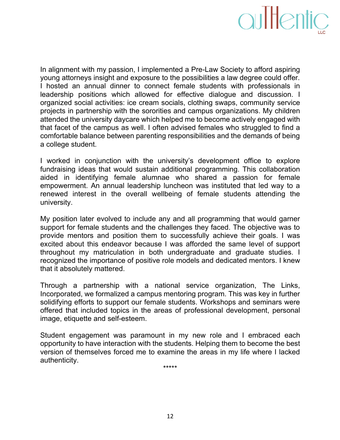

In alignment with my passion, I implemented a Pre-Law Society to afford aspiring young attorneys insight and exposure to the possibilities a law degree could offer. I hosted an annual dinner to connect female students with professionals in leadership positions which allowed for effective dialogue and discussion. I organized social activities: ice cream socials, clothing swaps, community service projects in partnership with the sororities and campus organizations. My children attended the university daycare which helped me to become actively engaged with that facet of the campus as well. I often advised females who struggled to find a comfortable balance between parenting responsibilities and the demands of being a college student.

I worked in conjunction with the university's development office to explore fundraising ideas that would sustain additional programming. This collaboration aided in identifying female alumnae who shared a passion for female empowerment. An annual leadership luncheon was instituted that led way to a renewed interest in the overall wellbeing of female students attending the university.

My position later evolved to include any and all programming that would garner support for female students and the challenges they faced. The objective was to provide mentors and position them to successfully achieve their goals. I was excited about this endeavor because I was afforded the same level of support throughout my matriculation in both undergraduate and graduate studies. I recognized the importance of positive role models and dedicated mentors. I knew that it absolutely mattered.

Through a partnership with a national service organization, The Links, Incorporated, we formalized a campus mentoring program. This was key in further solidifying efforts to support our female students. Workshops and seminars were offered that included topics in the areas of professional development, personal image, etiquette and self-esteem.

Student engagement was paramount in my new role and I embraced each opportunity to have interaction with the students. Helping them to become the best version of themselves forced me to examine the areas in my life where I lacked authenticity.

\*\*\*\*\*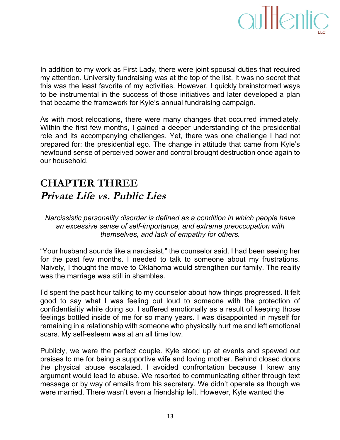

In addition to my work as First Lady, there were joint spousal duties that required my attention. University fundraising was at the top of the list. It was no secret that this was the least favorite of my activities. However, I quickly brainstormed ways to be instrumental in the success of those initiatives and later developed a plan that became the framework for Kyle's annual fundraising campaign.

As with most relocations, there were many changes that occurred immediately. Within the first few months, I gained a deeper understanding of the presidential role and its accompanying challenges. Yet, there was one challenge I had not prepared for: the presidential ego. The change in attitude that came from Kyle's newfound sense of perceived power and control brought destruction once again to our household.

### **CHAPTER THREE Private Life vs. Public Lies**

*Narcissistic personality disorder is defined as a condition in which people have* an excessive sense of self-importance, and extreme preoccupation with *themselves, and lack of empathy for others.* 

"Your husband sounds like a narcissist," the counselor said. I had been seeing her for the past few months. I needed to talk to someone about my frustrations. Naively, I thought the move to Oklahoma would strengthen our family. The reality was the marriage was still in shambles.

I'd spent the past hour talking to my counselor about how things progressed. It felt good to say what I was feeling out loud to someone with the protection of confidentiality while doing so. I suffered emotionally as a result of keeping those feelings bottled inside of me for so many years. I was disappointed in myself for remaining in a relationship with someone who physically hurt me and left emotional scars. My self-esteem was at an all time low.

Publicly, we were the perfect couple. Kyle stood up at events and spewed out praises to me for being a supportive wife and loving mother. Behind closed doors the physical abuse escalated. I avoided confrontation because I knew any argument would lead to abuse. We resorted to communicating either through text message or by way of emails from his secretary. We didn't operate as though we were married. There wasn't even a friendship left. However, Kyle wanted the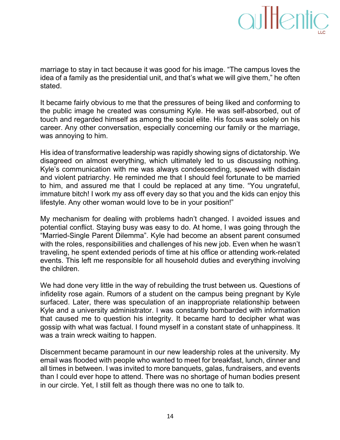

marriage to stay in tact because it was good for his image. "The campus loves the idea of a family as the presidential unit, and that's what we will give them," he often stated.

It became fairly obvious to me that the pressures of being liked and conforming to the public image he created was consuming Kyle. He was self-absorbed, out of touch and regarded himself as among the social elite. His focus was solely on his career. Any other conversation, especially concerning our family or the marriage, was annoying to him.

His idea of transformative leadership was rapidly showing signs of dictatorship. We disagreed on almost everything, which ultimately led to us discussing nothing. Kyle's communication with me was always condescending, spewed with disdain and violent patriarchy. He reminded me that I should feel fortunate to be married to him, and assured me that I could be replaced at any time. "You ungrateful, immature bitch! I work my ass off every day so that you and the kids can enjoy this lifestyle. Any other woman would love to be in your position!"

My mechanism for dealing with problems hadn't changed. I avoided issues and potential conflict. Staying busy was easy to do. At home, I was going through the "Married-Single Parent Dilemma". Kyle had become an absent parent consumed with the roles, responsibilities and challenges of his new job. Even when he wasn't traveling, he spent extended periods of time at his office or attending work-related events. This left me responsible for all household duties and everything involving the children.

We had done very little in the way of rebuilding the trust between us. Questions of infidelity rose again. Rumors of a student on the campus being pregnant by Kyle surfaced. Later, there was speculation of an inappropriate relationship between Kyle and a university administrator. I was constantly bombarded with information that caused me to question his integrity. It became hard to decipher what was gossip with what was factual. I found myself in a constant state of unhappiness. It was a train wreck waiting to happen.

Discernment became paramount in our new leadership roles at the university. My email was flooded with people who wanted to meet for breakfast, lunch, dinner and all times in between. I was invited to more banquets, galas, fundraisers, and events than I could ever hope to attend. There was no shortage of human bodies present in our circle. Yet, I still felt as though there was no one to talk to.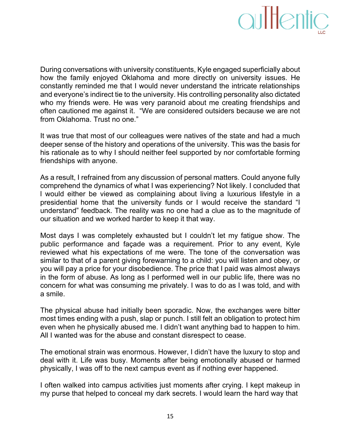

During conversations with university constituents, Kyle engaged superficially about how the family enjoyed Oklahoma and more directly on university issues. He constantly reminded me that I would never understand the intricate relationships and everyone's indirect tie to the university. His controlling personality also dictated who my friends were. He was very paranoid about me creating friendships and often cautioned me against it. "We are considered outsiders because we are not from Oklahoma. Trust no one."

It was true that most of our colleagues were natives of the state and had a much deeper sense of the history and operations of the university. This was the basis for his rationale as to why I should neither feel supported by nor comfortable forming friendships with anyone.

As a result, I refrained from any discussion of personal matters. Could anyone fully comprehend the dynamics of what I was experiencing? Not likely. I concluded that I would either be viewed as complaining about living a luxurious lifestyle in a presidential home that the university funds or I would receive the standard "I understand" feedback. The reality was no one had a clue as to the magnitude of our situation and we worked harder to keep it that way.

Most days I was completely exhausted but I couldn't let my fatigue show. The public performance and façade was a requirement. Prior to any event, Kyle reviewed what his expectations of me were. The tone of the conversation was similar to that of a parent giving forewarning to a child: you will listen and obey, or you will pay a price for your disobedience. The price that I paid was almost always in the form of abuse. As long as I performed well in our public life, there was no concern for what was consuming me privately. I was to do as I was told, and with a smile.

The physical abuse had initially been sporadic. Now, the exchanges were bitter most times ending with a push, slap or punch. I still felt an obligation to protect him even when he physically abused me. I didn't want anything bad to happen to him. All I wanted was for the abuse and constant disrespect to cease.

The emotional strain was enormous. However, I didn't have the luxury to stop and deal with it. Life was busy. Moments after being emotionally abused or harmed physically, I was off to the next campus event as if nothing ever happened.

I often walked into campus activities just moments after crying. I kept makeup in my purse that helped to conceal my dark secrets. I would learn the hard way that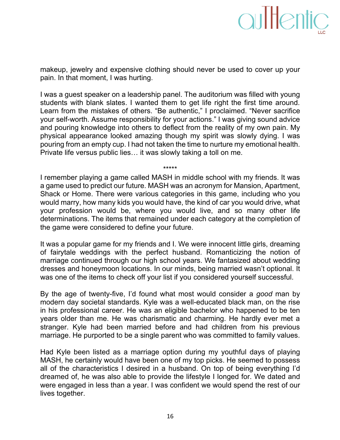

makeup, jewelry and expensive clothing should never be used to cover up your pain. In that moment, I was hurting.

I was a guest speaker on a leadership panel. The auditorium was filled with young students with blank slates. I wanted them to get life right the first time around. Learn from the mistakes of others. "Be authentic," I proclaimed. "Never sacrifice your self-worth. Assume responsibility for your actions." I was giving sound advice and pouring knowledge into others to deflect from the reality of my own pain. My physical appearance looked amazing though my spirit was slowly dying. I was pouring from an empty cup. I had not taken the time to nurture my emotional health. Private life versus public lies... it was slowly taking a toll on me.

\*\*\*\*\*

I remember playing a game called MASH in middle school with my friends. It was a game used to predict our future. MASH was an acronym for Mansion, Apartment, Shack or Home. There were various categories in this game, including who you would marry, how many kids you would have, the kind of car you would drive, what your profession would be, where you would live, and so many other life determinations. The items that remained under each category at the completion of the game were considered to define your future.

It was a popular game for my friends and I. We were innocent little girls, dreaming of fairytale weddings with the perfect husband. Romanticizing the notion of marriage continued through our high school years. We fantasized about wedding dresses and honeymoon locations. In our minds, being married wasn't optional. It was one of the items to check off your list if you considered yourself successful.

By the age of twenty-five, I'd found what most would consider a *good* man by modern day societal standards. Kyle was a well-educated black man, on the rise in his professional career. He was an eligible bachelor who happened to be ten years older than me. He was charismatic and charming. He hardly ever met a stranger. Kyle had been married before and had children from his previous marriage. He purported to be a single parent who was committed to family values.

Had Kyle been listed as a marriage option during my youthful days of playing MASH, he certainly would have been one of my top picks. He seemed to possess all of the characteristics I desired in a husband. On top of being everything I'd dreamed of, he was also able to provide the lifestyle I longed for. We dated and were engaged in less than a year. I was confident we would spend the rest of our lives together.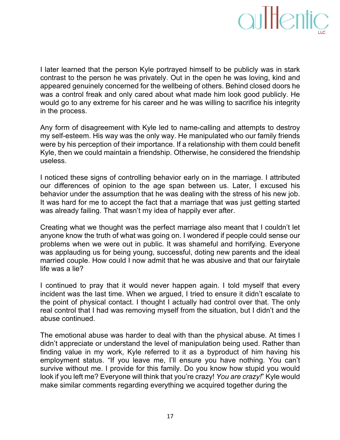

I later learned that the person Kyle portrayed himself to be publicly was in stark contrast to the person he was privately. Out in the open he was loving, kind and appeared genuinely concerned for the wellbeing of others. Behind closed doors he was a control freak and only cared about what made him look good publicly. He would go to any extreme for his career and he was willing to sacrifice his integrity in the process.

Any form of disagreement with Kyle led to name-calling and attempts to destroy my self-esteem. His way was the only way. He manipulated who our family friends were by his perception of their importance. If a relationship with them could benefit Kyle, then we could maintain a friendship. Otherwise, he considered the friendship useless.

I noticed these signs of controlling behavior early on in the marriage. I attributed our differences of opinion to the age span between us. Later, I excused his behavior under the assumption that he was dealing with the stress of his new job. It was hard for me to accept the fact that a marriage that was just getting started was already failing. That wasn't my idea of happily ever after.

Creating what we thought was the perfect marriage also meant that I couldn't let anyone know the truth of what was going on. I wondered if people could sense our problems when we were out in public. It was shameful and horrifying. Everyone was applauding us for being young, successful, doting new parents and the ideal married couple. How could I now admit that he was abusive and that our fairytale life was a lie?

I continued to pray that it would never happen again. I told myself that every incident was the last time. When we argued, I tried to ensure it didn't escalate to the point of physical contact. I thought I actually had control over that. The only real control that I had was removing myself from the situation, but I didn't and the abuse continued.

The emotional abuse was harder to deal with than the physical abuse. At times I didn't appreciate or understand the level of manipulation being used. Rather than finding value in my work, Kyle referred to it as a byproduct of him having his employment status. "If you leave me, I'll ensure you have nothing. You can't survive without me. I provide for this family. Do you know how stupid you would look if you left me? Everyone will think that you're crazy! *You are crazy!*" Kyle would make similar comments regarding everything we acquired together during the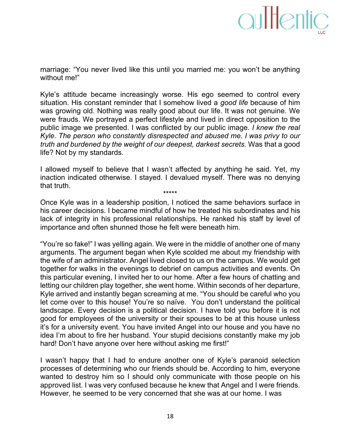marriage: "You never lived like this until you married me: you won't be anything without me!"

Kyle's attitude became increasingly worse. His ego seemed to control every situation. His constant reminder that I somehow lived a *good life* because of him was growing old. Nothing was really good about our life. It was not genuine. We were frauds. We portrayed a perfect lifestyle and lived in direct opposition to the public image we presented. I was conflicted by our public image. *I knew the real Kyle. The person who constantly disrespected and abused me. I was privy to our truth and burdened by the weight of our deepest, darkest secrets.* Was that a good life? Not by my standards.

I allowed myself to believe that I wasn't affected by anything he said. Yet, my inaction indicated otherwise. I stayed. I devalued myself. There was no denying that truth. \*\*\*\*\*

Once Kyle was in a leadership position, I noticed the same behaviors surface in his career decisions. I became mindful of how he treated his subordinates and his lack of integrity in his professional relationships. He ranked his staff by level of importance and often shunned those he felt were beneath him.

"You're so fake!" I was yelling again. We were in the middle of another one of many arguments. The argument began when Kyle scolded me about my friendship with the wife of an administrator. Angel lived closed to us on the campus. We would get together for walks in the evenings to debrief on campus activities and events. On this particular evening, I invited her to our home. After a few hours of chatting and letting our children play together, she went home. Within seconds of her departure, Kyle arrived and instantly began screaming at me. "You should be careful who you let come over to this house! You're so naïve. You don't understand the political landscape. Every decision is a political decision. I have told you before it is not good for employees of the university or their spouses to be at this house unless it's for a university event. You have invited Angel into our house and you have no idea I'm about to fire her husband. Your stupid decisions constantly make my job hard! Don't have anyone over here without asking me first!"

I wasn't happy that I had to endure another one of Kyle's paranoid selection processes of determining who our friends should be. According to him, everyone wanted to destroy him so I should only communicate with those people on his approved list. I was very confused because he knew that Angel and I were friends. However, he seemed to be very concerned that she was at our home. I was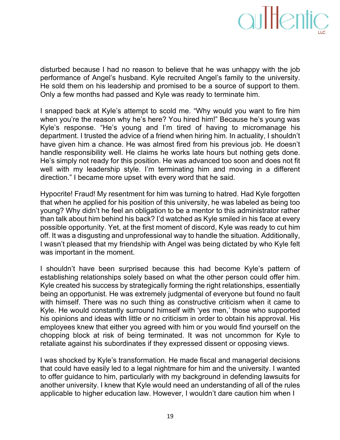## aultentic

disturbed because I had no reason to believe that he was unhappy with the job performance of Angel's husband. Kyle recruited Angel's family to the university. He sold them on his leadership and promised to be a source of support to them. Only a few months had passed and Kyle was ready to terminate him.

I snapped back at Kyle's attempt to scold me. "Why would you want to fire him when you're the reason why he's here? You hired him!" Because he's young was Kyle's response. "He's young and I'm tired of having to micromanage his department. I trusted the advice of a friend when hiring him. In actuality, I shouldn't have given him a chance. He was almost fired from his previous job. He doesn't handle responsibility well. He claims he works late hours but nothing gets done. He's simply not ready for this position. He was advanced too soon and does not fit well with my leadership style. I'm terminating him and moving in a different direction." I became more upset with every word that he said.

Hypocrite! Fraud! My resentment for him was turning to hatred. Had Kyle forgotten that when he applied for his position of this university, he was labeled as being too young? Why didn't he feel an obligation to be a mentor to this administrator rather than talk about him behind his back? I'd watched as Kyle smiled in his face at every possible opportunity. Yet, at the first moment of discord, Kyle was ready to cut him off. It was a disgusting and unprofessional way to handle the situation. Additionally, I wasn't pleased that my friendship with Angel was being dictated by who Kyle felt was important in the moment.

I shouldn't have been surprised because this had become Kyle's pattern of establishing relationships solely based on what the other person could offer him. Kyle created his success by strategically forming the right relationships, essentially being an opportunist. He was extremely judgmental of everyone but found no fault with himself. There was no such thing as constructive criticism when it came to Kyle. He would constantly surround himself with 'yes men,' those who supported his opinions and ideas with little or no criticism in order to obtain his approval. His employees knew that either you agreed with him or you would find yourself on the chopping block at risk of being terminated. It was not uncommon for Kyle to retaliate against his subordinates if they expressed dissent or opposing views.

I was shocked by Kyle's transformation. He made fiscal and managerial decisions. that could have easily led to a legal nightmare for him and the university. I wanted to offer guidance to him, particularly with my background in defending lawsuits for another university. I knew that Kyle would need an understanding of all of the rules applicable to higher education law. However, I wouldn't dare caution him when I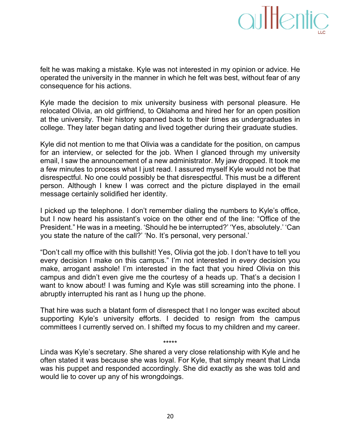### aultentic

felt he was making a mistake. Kyle was not interested in my opinion or advice. He operated the university in the manner in which he felt was best, without fear of any consequence for his actions.

Kyle made the decision to mix university business with personal pleasure. He relocated Olivia, an old girlfriend, to Oklahoma and hired her for an open position at the university. Their history spanned back to their times as undergraduates in college. They later began dating and lived together during their graduate studies.

Kyle did not mention to me that Olivia was a candidate for the position, on campus for an interview, or selected for the job. When I glanced through my university email, I saw the announcement of a new administrator. My jaw dropped. It took me a few minutes to process what I just read. I assured myself Kyle would not be that disrespectful. No one could possibly be that disrespectful. This must be a different person. Although I knew I was correct and the picture displayed in the email message certainly solidified her identity.

I picked up the telephone. I don't remember dialing the numbers to Kyle's office, but I now heard his assistant's voice on the other end of the line: "Office of the President." He was in a meeting. 'Should he be interrupted?' 'Yes, absolutely.' 'Can you state the nature of the call?' 'No. It's personal, very personal.'

"Don't call my office with this bullshit! Yes, Olivia got the job. I don't have to tell you every decision I make on this campus." I'm not interested in *every* decision you make, arrogant asshole! I'm interested in the fact that you hired Olivia on this campus and didn't even give me the courtesy of a heads up. That's a decision I want to know about! I was fuming and Kyle was still screaming into the phone. I abruptly interrupted his rant as I hung up the phone.

That hire was such a blatant form of disrespect that I no longer was excited about supporting Kyle's university efforts. I decided to resign from the campus committees I currently served on. I shifted my focus to my children and my career.

Linda was Kyle's secretary. She shared a very close relationship with Kyle and he often stated it was because she was loyal. For Kyle, that simply meant that Linda was his puppet and responded accordingly. She did exactly as she was told and would lie to cover up any of his wrongdoings.

\*\*\*\*\*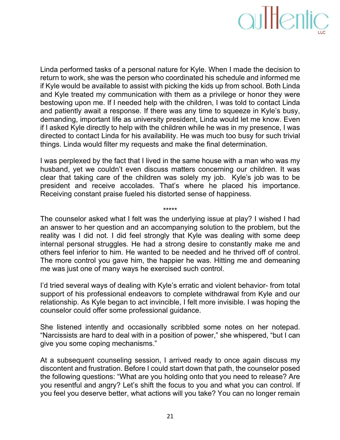

Linda performed tasks of a personal nature for Kyle. When I made the decision to return to work, she was the person who coordinated his schedule and informed me if Kyle would be available to assist with picking the kids up from school. Both Linda and Kyle treated my communication with them as a privilege or honor they were bestowing upon me. If I needed help with the children, I was told to contact Linda and patiently await a response. If there was any time to squeeze in Kyle's busy, demanding, important life as university president, Linda would let me know. Even if I asked Kyle directly to help with the children while he was in my presence, I was directed to contact Linda for his availability. He was much too busy for such trivial things. Linda would filter my requests and make the final determination.

I was perplexed by the fact that I lived in the same house with a man who was my husband, yet we couldn't even discuss matters concerning our children. It was clear that taking care of the children was solely my job. Kyle's job was to be president and receive accolades. That's where he placed his importance. Receiving constant praise fueled his distorted sense of happiness.

\*\*\*\*\*

The counselor asked what I felt was the underlying issue at play? I wished I had an answer to her question and an accompanying solution to the problem, but the reality was I did not. I did feel strongly that Kyle was dealing with some deep internal personal struggles. He had a strong desire to constantly make me and others feel inferior to him. He wanted to be needed and he thrived off of control. The more control you gave him, the happier he was. Hitting me and demeaning me was just one of many ways he exercised such control.

I'd tried several ways of dealing with Kyle's erratic and violent behavior- from total support of his professional endeavors to complete withdrawal from Kyle and our relationship. As Kyle began to act invincible, I felt more invisible. I was hoping the counselor could offer some professional guidance.

She listened intently and occasionally scribbled some notes on her notepad. "Narcissists are hard to deal with in a position of power," she whispered, "but I can give you some coping mechanisms."

At a subsequent counseling session, I arrived ready to once again discuss my discontent and frustration. Before I could start down that path, the counselor posed the following questions: "What are you holding onto that you need to release? Are you resentful and angry? Let's shift the focus to you and what you can control. If you feel you deserve better, what actions will you take? You can no longer remain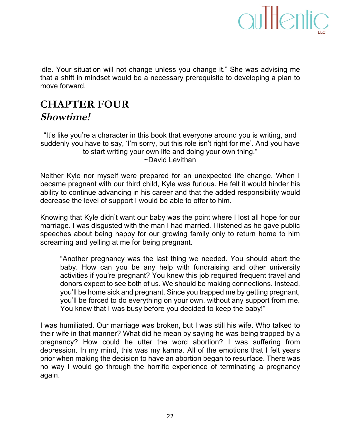

idle. Your situation will not change unless you change it." She was advising me that a shift in mindset would be a necessary prerequisite to developing a plan to move forward.

#### **CHAPTER FOUR Showtime!**

"It's like you're a character in this book that everyone around you is writing, and suddenly you have to say, 'I'm sorry, but this role isn't right for me'. And you have to start writing your own life and doing your own thing."  $\neg$ David Levithan

Neither Kyle nor myself were prepared for an unexpected life change. When I became pregnant with our third child, Kyle was furious. He felt it would hinder his ability to continue advancing in his career and that the added responsibility would decrease the level of support I would be able to offer to him.

Knowing that Kyle didn't want our baby was the point where I lost all hope for our marriage. I was disgusted with the man I had married. I listened as he gave public speeches about being happy for our growing family only to return home to him screaming and yelling at me for being pregnant.

"Another pregnancy was the last thing we needed. You should abort the baby. How can you be any help with fundraising and other university activities if you're pregnant? You knew this job required frequent travel and donors expect to see both of us. We should be making connections. Instead, you'll be home sick and pregnant. Since you trapped me by getting pregnant, you'll be forced to do everything on your own, without any support from me. You knew that I was busy before you decided to keep the baby!"

I was humiliated. Our marriage was broken, but I was still his wife. Who talked to their wife in that manner? What did he mean by saying he was being trapped by a pregnancy? How could he utter the word abortion? I was suffering from depression. In my mind, this was my karma. All of the emotions that I felt years prior when making the decision to have an abortion began to resurface. There was no way I would go through the horrific experience of terminating a pregnancy again.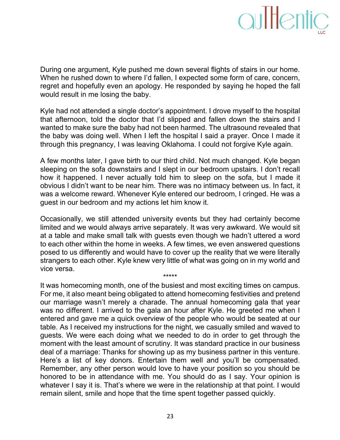

During one argument, Kyle pushed me down several flights of stairs in our home. When he rushed down to where I'd fallen, I expected some form of care, concern, regret and hopefully even an apology. He responded by saying he hoped the fall would result in me losing the baby.

Kyle had not attended a single doctor's appointment. I drove myself to the hospital that afternoon, told the doctor that I'd slipped and fallen down the stairs and I wanted to make sure the baby had not been harmed. The ultrasound revealed that the baby was doing well. When I left the hospital I said a prayer. Once I made it through this pregnancy, I was leaving Oklahoma. I could not forgive Kyle again.

A few months later, I gave birth to our third child. Not much changed. Kyle began sleeping on the sofa downstairs and I slept in our bedroom upstairs. I don't recall how it happened. I never actually told him to sleep on the sofa, but I made it obvious I didn't want to be near him. There was no intimacy between us. In fact, it was a welcome reward. Whenever Kyle entered our bedroom, I cringed. He was a guest in our bedroom and my actions let him know it.

Occasionally, we still attended university events but they had certainly become limited and we would always arrive separately. It was very awkward. We would sit at a table and make small talk with guests even though we hadn't uttered a word to each other within the home in weeks. A few times, we even answered questions posed to us differently and would have to cover up the reality that we were literally strangers to each other. Kyle knew very little of what was going on in my world and vice versa.

\*\*\*\*\*

It was homecoming month, one of the busiest and most exciting times on campus. For me, it also meant being obligated to attend homecoming festivities and pretend our marriage wasn't merely a charade. The annual homecoming gala that year was no different. I arrived to the gala an hour after Kyle. He greeted me when I entered and gave me a quick overview of the people who would be seated at our table. As I received my instructions for the night, we casually smiled and waved to guests. We were each doing what we needed to do in order to get through the moment with the least amount of scrutiny. It was standard practice in our business deal of a marriage: Thanks for showing up as my business partner in this venture. Here's a list of key donors. Entertain them well and you'll be compensated. Remember, any other person would love to have your position so you should be honored to be in attendance with me. You should do as I say. Your opinion is whatever I say it is. That's where we were in the relationship at that point. I would remain silent, smile and hope that the time spent together passed quickly.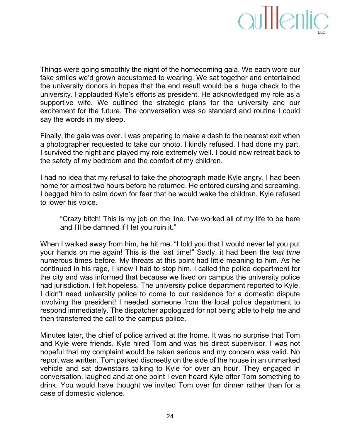

Things were going smoothly the night of the homecoming gala. We each wore our fake smiles we'd grown accustomed to wearing. We sat together and entertained the university donors in hopes that the end result would be a huge check to the university. I applauded Kyle's efforts as president. He acknowledged my role as a supportive wife. We outlined the strategic plans for the university and our excitement for the future. The conversation was so standard and routine I could say the words in my sleep.

Finally, the gala was over. I was preparing to make a dash to the nearest exit when a photographer requested to take our photo. I kindly refused. I had done my part. I survived the night and played my role extremely well. I could now retreat back to the safety of my bedroom and the comfort of my children.

I had no idea that my refusal to take the photograph made Kyle angry. I had been home for almost two hours before he returned. He entered cursing and screaming. I begged him to calm down for fear that he would wake the children. Kyle refused to lower his voice.

"Crazy bitch! This is my job on the line. I've worked all of my life to be here and I'll be damned if I let you ruin it."

When I walked away from him, he hit me. "I told you that I would never let you put your hands on me again! This is the last time!" Sadly, it had been the *last time* numerous times before. My threats at this point had little meaning to him. As he continued in his rage, I knew I had to stop him. I called the police department for the city and was informed that because we lived on campus the university police had jurisdiction. I felt hopeless. The university police department reported to Kyle. I didn't need university police to come to our residence for a domestic dispute involving the president! I needed someone from the local police department to respond immediately. The dispatcher apologized for not being able to help me and then transferred the call to the campus police.

Minutes later, the chief of police arrived at the home. It was no surprise that Tom and Kyle were friends. Kyle hired Tom and was his direct supervisor. I was not hopeful that my complaint would be taken serious and my concern was valid. No report was written. Tom parked discreetly on the side of the house in an unmarked vehicle and sat downstairs talking to Kyle for over an hour. They engaged in conversation, laughed and at one point I even heard Kyle offer Tom something to drink. You would have thought we invited Tom over for dinner rather than for a case of domestic violence.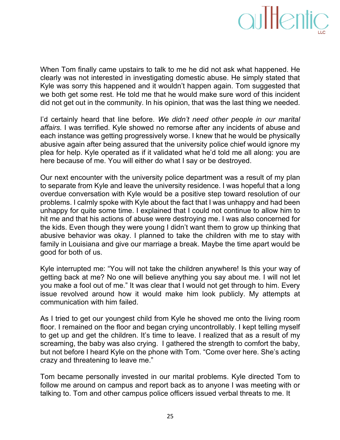

When Tom finally came upstairs to talk to me he did not ask what happened. He clearly was not interested in investigating domestic abuse. He simply stated that Kyle was sorry this happened and it wouldn't happen again. Tom suggested that we both get some rest. He told me that he would make sure word of this incident did not get out in the community. In his opinion, that was the last thing we needed.

I'd certainly heard that line before. We *didn't need other people in our marital* affairs. I was terrified. Kyle showed no remorse after any incidents of abuse and each instance was getting progressively worse. I knew that he would be physically abusive again after being assured that the university police chief would ignore my plea for help. Kyle operated as if it validated what he'd told me all along: you are here because of me. You will either do what I say or be destroyed.

Our next encounter with the university police department was a result of my plan to separate from Kyle and leave the university residence. I was hopeful that a long overdue conversation with Kyle would be a positive step toward resolution of our problems. I calmly spoke with Kyle about the fact that I was unhappy and had been unhappy for quite some time. I explained that I could not continue to allow him to hit me and that his actions of abuse were destroying me. I was also concerned for the kids. Even though they were young I didn't want them to grow up thinking that abusive behavior was okay. I planned to take the children with me to stay with family in Louisiana and give our marriage a break. Maybe the time apart would be good for both of us.

Kyle interrupted me: "You will not take the children anywhere! Is this your way of getting back at me? No one will believe anything you say about me. I will not let you make a fool out of me." It was clear that I would not get through to him. Every issue revolved around how it would make him look publicly. My attempts at communication with him failed.

As I tried to get our youngest child from Kyle he shoved me onto the living room floor. I remained on the floor and began crying uncontrollably. I kept telling myself to get up and get the children. It's time to leave. I realized that as a result of my screaming, the baby was also crying. I gathered the strength to comfort the baby, but not before I heard Kyle on the phone with Tom. "Come over here. She's acting crazy and threatening to leave me."

Tom became personally invested in our marital problems. Kyle directed Tom to follow me around on campus and report back as to anyone I was meeting with or talking to. Tom and other campus police officers issued verbal threats to me. It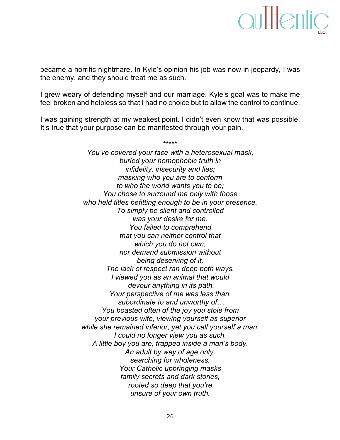### aultentic

became a horrific nightmare. In Kyle's opinion his job was now in jeopardy, I was the enemy, and they should treat me as such.

I grew weary of defending myself and our marriage. Kyle's goal was to make me feel broken and helpless so that I had no choice but to allow the control to continue.

I was gaining strength at my weakest point. I didn't even know that was possible. It's true that your purpose can be manifested through your pain.

\*\*\*\*\*

You've covered your face with a heterosexual mask, buried your homophobic truth in *infidelity, insecurity and lies; masking who you are to conform to* who the world wants you to be; *You chose to surround me only with those* who held titles befitting enough to be in your presence. To simply be silent and controlled was your desire for me. You failed to comprehend *that you can neither control that* which you do not own, *nor)demand)submission)without)* being deserving of it. *The lack of respect ran deep both ways. I* viewed you as an animal that would *devour anything in its path. Your perspective of me was less than,* subordinate to and unworthy of... *You)boasted)often)of)the)joy)you)stole)from) your)previous)wife,)viewing)yourself)as)superior) while she remained inferior; yet you call yourself a man. I*) could no longer view you as such. *A)little)boy)you)are,)trapped)inside)a)man's)body.)* An adult by way of age only, searching for wholeness. Your Catholic upbringing masks family secrets and dark stories, *rooted)so)deep)that)you're) unsure of your own truth.*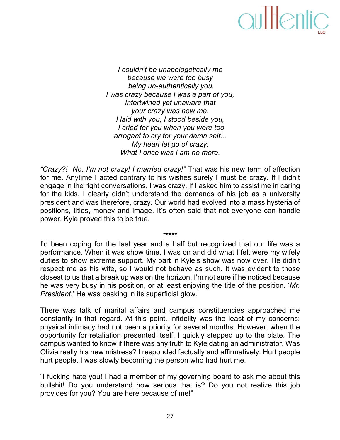*I* couldn't be unapologetically me because we were too busy being un-authentically you. *I*) was crazy because I was a part of you, *Intertwined yet unaware that your crazy was now me. I)laid)with)you,)I)stood)beside you, I* cried for you when you were too arrogant to cry for your damn self... *My heart let go of crazy. What I once was I am no more.* 

"Crazy?! No, I'm not crazy! I married crazy!" That was his new term of affection for me. Anytime I acted contrary to his wishes surely I must be crazy. If I didn't engage in the right conversations, I was crazy. If I asked him to assist me in caring for the kids, I clearly didn't understand the demands of his job as a university president and was therefore, crazy. Our world had evolved into a mass hysteria of positions, titles, money and image. It's often said that not everyone can handle power. Kyle proved this to be true.

I'd been coping for the last year and a half but recognized that our life was a performance. When it was show time, I was on and did what I felt were my wifely duties to show extreme support. My part in Kyle's show was now over. He didn't respect me as his wife, so I would not behave as such. It was evident to those closest to us that a break up was on the horizon. I'm not sure if he noticed because he was very busy in his position, or at least enjoying the title of the position. '*Mr. President.'* He was basking in its superficial glow.

\*\*\*\*\*

There was talk of marital affairs and campus constituencies approached me constantly in that regard. At this point, infidelity was the least of my concerns: physical intimacy had not been a priority for several months. However, when the opportunity for retaliation presented itself, I quickly stepped up to the plate. The campus wanted to know if there was any truth to Kyle dating an administrator. Was Olivia really his new mistress? I responded factually and affirmatively. Hurt people hurt people. I was slowly becoming the person who had hurt me.

"I fucking hate you! I had a member of my governing board to ask me about this bullshit! Do you understand how serious that is? Do you not realize this job provides for you? You are here because of me!"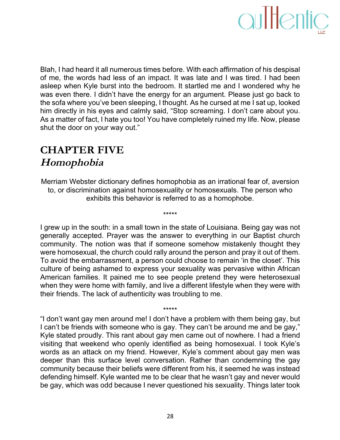

Blah, I had heard it all numerous times before. With each affirmation of his despisal of me, the words had less of an impact. It was late and I was tired. I had been asleep when Kyle burst into the bedroom. It startled me and I wondered why he was even there. I didn't have the energy for an argument. Please just go back to the sofa where you've been sleeping, I thought. As he cursed at me I sat up, looked him directly in his eyes and calmly said, "Stop screaming. I don't care about you. As a matter of fact, I hate you too! You have completely ruined my life. Now, please shut the door on your way out."

### **CHAPTER FIVE Homophobia**

Merriam Webster dictionary defines homophobia as an irrational fear of, aversion to, or discrimination against homosexuality or homosexuals. The person who exhibits this behavior is referred to as a homophobe.

\*\*\*\*\*

I grew up in the south: in a small town in the state of Louisiana. Being gay was not generally accepted. Prayer was the answer to everything in our Baptist church community. The notion was that if someone somehow mistakenly thought they were homosexual, the church could rally around the person and pray it out of them. To avoid the embarrassment, a person could choose to remain 'in the closet'. This culture of being ashamed to express your sexuality was pervasive within African American families. It pained me to see people pretend they were heterosexual when they were home with family, and live a different lifestyle when they were with their friends. The lack of authenticity was troubling to me.

"I don't want gay men around me! I don't have a problem with them being gay, but I can't be friends with someone who is gay. They can't be around me and be gay," Kyle stated proudly. This rant about gay men came out of nowhere. I had a friend visiting that weekend who openly identified as being homosexual. I took Kyle's words as an attack on my friend. However, Kyle's comment about gay men was deeper than this surface level conversation. Rather than condemning the gay community because their beliefs were different from his, it seemed he was instead defending himself. Kyle wanted me to be clear that he wasn't gay and never would be gay, which was odd because I never questioned his sexuality. Things later took

\*\*\*\*\*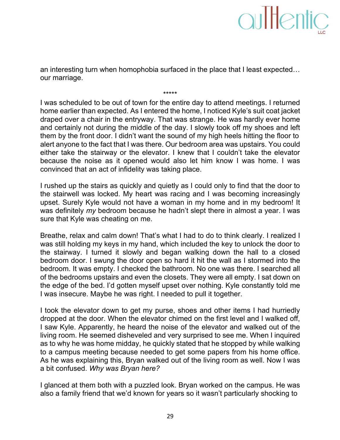an interesting turn when homophobia surfaced in the place that I least expected... our marriage.

\*\*\*\*\*

I was scheduled to be out of town for the entire day to attend meetings. I returned home earlier than expected. As I entered the home, I noticed Kyle's suit coat jacket draped over a chair in the entryway. That was strange. He was hardly ever home and certainly not during the middle of the day. I slowly took off my shoes and left them by the front door. I didn't want the sound of my high heels hitting the floor to alert anyone to the fact that I was there. Our bedroom area was upstairs. You could either take the stairway or the elevator. I knew that I couldn't take the elevator because the noise as it opened would also let him know I was home. I was convinced that an act of infidelity was taking place.

I rushed up the stairs as quickly and quietly as I could only to find that the door to the stairwell was locked. My heart was racing and I was becoming increasingly upset. Surely Kyle would not have a woman in my home and in my bedroom! It was definitely *my* bedroom because he hadn't slept there in almost a year. I was sure that Kyle was cheating on me.

Breathe, relax and calm down! That's what I had to do to think clearly. I realized I was still holding my keys in my hand, which included the key to unlock the door to the stairway. I turned it slowly and began walking down the hall to a closed bedroom door. I swung the door open so hard it hit the wall as I stormed into the bedroom. It was empty. I checked the bathroom. No one was there. I searched all of the bedrooms upstairs and even the closets. They were all empty. I sat down on the edge of the bed. I'd gotten myself upset over nothing. Kyle constantly told me I was insecure. Maybe he was right. I needed to pull it together.

I took the elevator down to get my purse, shoes and other items I had hurriedly dropped at the door. When the elevator chimed on the first level and I walked off, I saw Kyle. Apparently, he heard the noise of the elevator and walked out of the living room. He seemed disheveled and very surprised to see me. When I inquired as to why he was home midday, he quickly stated that he stopped by while walking to a campus meeting because needed to get some papers from his home office. As he was explaining this, Bryan walked out of the living room as well. Now I was a bit confused. Why was Bryan here?

I glanced at them both with a puzzled look. Bryan worked on the campus. He was also a family friend that we'd known for years so it wasn't particularly shocking to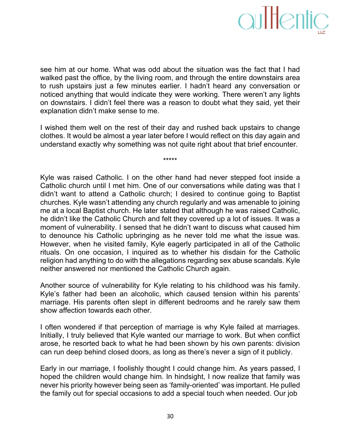

see him at our home. What was odd about the situation was the fact that I had walked past the office, by the living room, and through the entire downstairs area to rush upstairs just a few minutes earlier. I hadn't heard any conversation or noticed anything that would indicate they were working. There weren't any lights on downstairs. I didn't feel there was a reason to doubt what they said, yet their explanation didn't make sense to me.

I wished them well on the rest of their day and rushed back upstairs to change clothes. It would be almost a year later before I would reflect on this day again and understand exactly why something was not quite right about that brief encounter.

\*\*\*\*\*

Kyle was raised Catholic. I on the other hand had never stepped foot inside a Catholic church until I met him. One of our conversations while dating was that I didn't want to attend a Catholic church; I desired to continue going to Baptist churches. Kyle wasn't attending any church regularly and was amenable to joining me at a local Baptist church. He later stated that although he was raised Catholic, he didn't like the Catholic Church and felt they covered up a lot of issues. It was a moment of vulnerability. I sensed that he didn't want to discuss what caused him to denounce his Catholic upbringing as he never told me what the issue was. However, when he visited family, Kyle eagerly participated in all of the Catholic rituals. On one occasion, I inquired as to whether his disdain for the Catholic religion had anything to do with the allegations regarding sex abuse scandals. Kyle neither answered nor mentioned the Catholic Church again.

Another source of vulnerability for Kyle relating to his childhood was his family. Kyle's father had been an alcoholic, which caused tension within his parents' marriage. His parents often slept in different bedrooms and he rarely saw them show affection towards each other.

I often wondered if that perception of marriage is why Kyle failed at marriages. Initially, I truly believed that Kyle wanted our marriage to work. But when conflict arose, he resorted back to what he had been shown by his own parents: division can run deep behind closed doors, as long as there's never a sign of it publicly.

Early in our marriage, I foolishly thought I could change him. As years passed, I hoped the children would change him. In hindsight, I now realize that family was never his priority however being seen as 'family-oriented' was important. He pulled the family out for special occasions to add a special touch when needed. Our job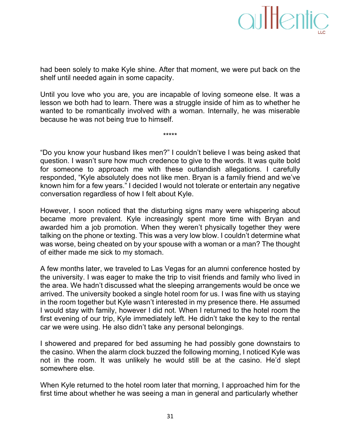had been solely to make Kyle shine. After that moment, we were put back on the shelf until needed again in some capacity.

Until you love who you are, you are incapable of loving someone else. It was a lesson we both had to learn. There was a struggle inside of him as to whether he wanted to be romantically involved with a woman. Internally, he was miserable because he was not being true to himself.

\*\*\*\*\*

"Do you know your husband likes men?" I couldn't believe I was being asked that question. I wasn't sure how much credence to give to the words. It was quite bold for someone to approach me with these outlandish allegations. I carefully responded, "Kyle absolutely does not like men. Bryan is a family friend and we've known him for a few years." I decided I would not tolerate or entertain any negative conversation regardless of how I felt about Kyle.

However, I soon noticed that the disturbing signs many were whispering about became more prevalent. Kyle increasingly spent more time with Bryan and awarded him a job promotion. When they weren't physically together they were talking on the phone or texting. This was a very low blow. I couldn't determine what was worse, being cheated on by your spouse with a woman or a man? The thought of either made me sick to my stomach.

A few months later, we traveled to Las Vegas for an alumni conference hosted by the university. I was eager to make the trip to visit friends and family who lived in the area. We hadn't discussed what the sleeping arrangements would be once we arrived. The university booked a single hotel room for us. I was fine with us staying in the room together but Kyle wasn't interested in my presence there. He assumed I would stay with family, however I did not. When I returned to the hotel room the first evening of our trip, Kyle immediately left. He didn't take the key to the rental car we were using. He also didn't take any personal belongings.

I showered and prepared for bed assuming he had possibly gone downstairs to the casino. When the alarm clock buzzed the following morning, I noticed Kyle was not in the room. It was unlikely he would still be at the casino. He'd slept somewhere else.

When Kyle returned to the hotel room later that morning, I approached him for the first time about whether he was seeing a man in general and particularly whether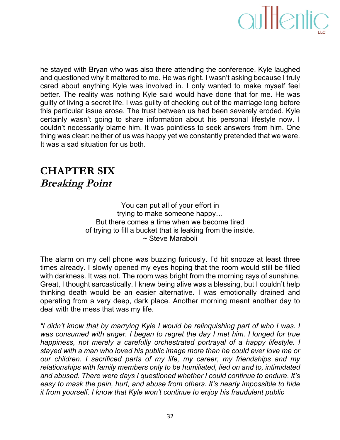

he stayed with Bryan who was also there attending the conference. Kyle laughed and questioned why it mattered to me. He was right. I wasn't asking because I truly cared about anything Kyle was involved in. I only wanted to make myself feel better. The reality was nothing Kyle said would have done that for me. He was guilty of living a secret life. I was guilty of checking out of the marriage long before this particular issue arose. The trust between us had been severely eroded. Kyle certainly wasn't going to share information about his personal lifestyle now. I couldn't necessarily blame him. It was pointless to seek answers from him. One thing was clear: neither of us was happy yet we constantly pretended that we were. It was a sad situation for us both.

#### **CHAPTER SIX Breaking Point**

You can put all of your effort in trying to make someone happy... But there comes a time when we become tired of trying to fill a bucket that is leaking from the inside. ~ Steve Maraboli

The alarm on my cell phone was buzzing furiously. I'd hit snooze at least three times already. I slowly opened my eyes hoping that the room would still be filled with darkness. It was not. The room was bright from the morning rays of sunshine. Great, I thought sarcastically. I knew being alive was a blessing, but I couldn't help thinking death would be an easier alternative. I was emotionally drained and operating from a very deep, dark place. Another morning meant another day to deal with the mess that was my life.

*"I)didn't)know)that)by)marrying)Kyle)I)would)be)relinquishing)part)of)who)I)was.)I) was* consumed with anger. I began to regret the day I met him. I longed for true *happiness, not merely a carefully orchestrated portrayal of a happy lifestyle. I* stayed with a man who loved his public image more than he could ever love me or *our) children. I) sacrificed) parts) of) my) life,) my) career,) my) friendships) and) my)* relationships with family members only to be humiliated, lied on and to, intimidated and abused. There were days I questioned whether I could continue to endure. It's easy to mask the pain, hurt, and abuse from others. It's nearly impossible to hide *it from yourself. I know that Kyle won't continue to enjoy his fraudulent public*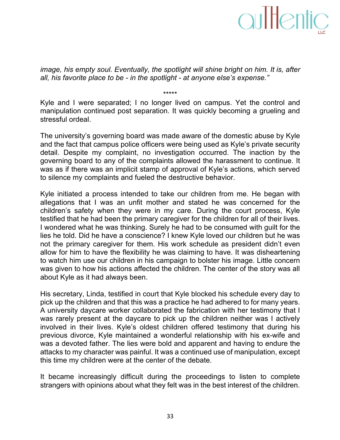*image, his empty soul. Eventually, the spotlight will shine bright on him. It is, after all, his favorite place to be - in the spotlight - at anyone else's expense."* 

Kyle and I were separated; I no longer lived on campus. Yet the control and manipulation continued post separation. It was quickly becoming a grueling and stressful ordeal.

\*\*\*\*\*

The university's governing board was made aware of the domestic abuse by Kyle and the fact that campus police officers were being used as Kyle's private security detail. Despite my complaint, no investigation occurred. The inaction by the governing board to any of the complaints allowed the harassment to continue. It was as if there was an implicit stamp of approval of Kyle's actions, which served to silence my complaints and fueled the destructive behavior.

Kyle initiated a process intended to take our children from me. He began with allegations that I was an unfit mother and stated he was concerned for the children's safety when they were in my care. During the court process, Kyle testified that he had been the primary caregiver for the children for all of their lives. I wondered what he was thinking. Surely he had to be consumed with guilt for the lies he told. Did he have a conscience? I knew Kyle loved our children but he was not the primary caregiver for them. His work schedule as president didn't even allow for him to have the flexibility he was claiming to have. It was disheartening to watch him use our children in his campaign to bolster his image. Little concern was given to how his actions affected the children. The center of the story was all about Kyle as it had always been.

His secretary, Linda, testified in court that Kyle blocked his schedule every day to pick up the children and that this was a practice he had adhered to for many years. A university daycare worker collaborated the fabrication with her testimony that I was rarely present at the daycare to pick up the children neither was I actively involved in their lives. Kyle's oldest children offered testimony that during his previous divorce, Kyle maintained a wonderful relationship with his ex-wife and was a devoted father. The lies were bold and apparent and having to endure the attacks to my character was painful. It was a continued use of manipulation, except this time my children were at the center of the debate.

It became increasingly difficult during the proceedings to listen to complete strangers with opinions about what they felt was in the best interest of the children.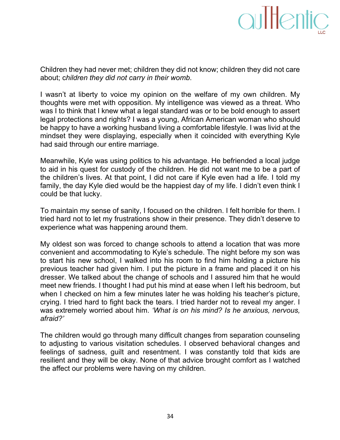Children they had never met; children they did not know; children they did not care about; children they did not carry in their womb.

I wasn't at liberty to voice my opinion on the welfare of my own children. My thoughts were met with opposition. My intelligence was viewed as a threat. Who was I to think that I knew what a legal standard was or to be bold enough to assert legal protections and rights? I was a young, African American woman who should be happy to have a working husband living a comfortable lifestyle. I was livid at the mindset they were displaying, especially when it coincided with everything Kyle had said through our entire marriage.

Meanwhile, Kyle was using politics to his advantage. He befriended a local judge to aid in his quest for custody of the children. He did not want me to be a part of the children's lives. At that point, I did not care if Kyle even had a life. I told my family, the day Kyle died would be the happiest day of my life. I didn't even think I could be that lucky.

To maintain my sense of sanity, I focused on the children. I felt horrible for them. I tried hard not to let my frustrations show in their presence. They didn't deserve to experience what was happening around them.

My oldest son was forced to change schools to attend a location that was more convenient and accommodating to Kyle's schedule. The night before my son was to start his new school, I walked into his room to find him holding a picture his previous teacher had given him. I put the picture in a frame and placed it on his dresser. We talked about the change of schools and I assured him that he would meet new friends. I thought I had put his mind at ease when I left his bedroom, but when I checked on him a few minutes later he was holding his teacher's picture, crying. I tried hard to fight back the tears. I tried harder not to reveal my anger. I was extremely worried about him. 'What is on his mind? Is he anxious, nervous, *afraid?'*

The children would go through many difficult changes from separation counseling to adjusting to various visitation schedules. I observed behavioral changes and feelings of sadness, guilt and resentment. I was constantly told that kids are resilient and they will be okay. None of that advice brought comfort as I watched the affect our problems were having on my children.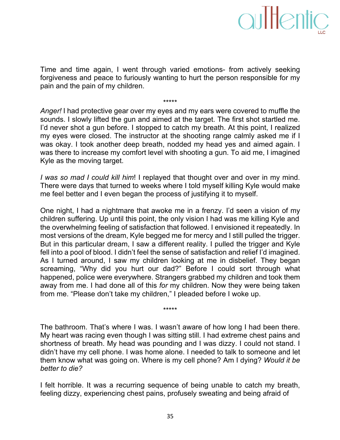

Time and time again, I went through varied emotions- from actively seeking forgiveness and peace to furiously wanting to hurt the person responsible for my pain and the pain of my children.

\*\*\*\*\*

Anger! I had protective gear over my eyes and my ears were covered to muffle the sounds. I slowly lifted the gun and aimed at the target. The first shot startled me. I'd never shot a gun before. I stopped to catch my breath. At this point, I realized my eyes were closed. The instructor at the shooting range calmly asked me if I was okay. I took another deep breath, nodded my head yes and aimed again. I was there to increase my comfort level with shooting a gun. To aid me, I imagined Kyle as the moving target.

*I*) was so mad I could kill him! I replayed that thought over and over in my mind. There were days that turned to weeks where I told myself killing Kyle would make me feel better and I even began the process of justifying it to myself.

One night, I had a nightmare that awoke me in a frenzy. I'd seen a vision of my children suffering. Up until this point, the only vision I had was me killing Kyle and the overwhelming feeling of satisfaction that followed. I envisioned it repeatedly. In most versions of the dream, Kyle begged me for mercy and I still pulled the trigger. But in this particular dream, I saw a different reality. I pulled the trigger and Kyle fell into a pool of blood. I didn't feel the sense of satisfaction and relief I'd imagined. As I turned around, I saw my children looking at me in disbelief. They began screaming, "Why did you hurt our dad?" Before I could sort through what happened, police were everywhere. Strangers grabbed my children and took them away from me. I had done all of this *for* my children. Now they were being taken from me. "Please don't take my children," I pleaded before I woke up.

The bathroom. That's where I was. I wasn't aware of how long I had been there. My heart was racing even though I was sitting still. I had extreme chest pains and shortness of breath. My head was pounding and I was dizzy. I could not stand. I didn't have my cell phone. I was home alone. I needed to talk to someone and let them know what was going on. Where is my cell phone? Am I dying? *Would it be* better to die?

\*\*\*\*\*

I felt horrible. It was a recurring sequence of being unable to catch my breath, feeling dizzy, experiencing chest pains, profusely sweating and being afraid of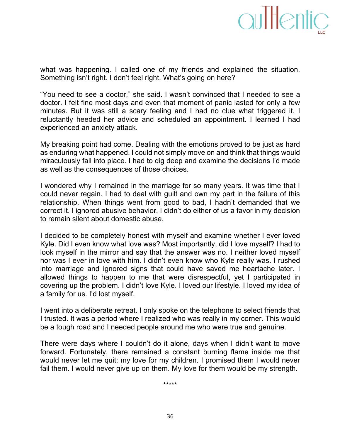

what was happening. I called one of my friends and explained the situation. Something isn't right. I don't feel right. What's going on here?

"You need to see a doctor," she said. I wasn't convinced that I needed to see a doctor. I felt fine most days and even that moment of panic lasted for only a few minutes. But it was still a scary feeling and I had no clue what triggered it. I reluctantly heeded her advice and scheduled an appointment. I learned I had experienced an anxiety attack.

My breaking point had come. Dealing with the emotions proved to be just as hard as enduring what happened. I could not simply move on and think that things would miraculously fall into place. I had to dig deep and examine the decisions I'd made as well as the consequences of those choices.

I wondered why I remained in the marriage for so many years. It was time that I could never regain. I had to deal with guilt and own my part in the failure of this relationship. When things went from good to bad, I hadn't demanded that we correct it. I ignored abusive behavior. I didn't do either of us a favor in my decision to remain silent about domestic abuse.

I decided to be completely honest with myself and examine whether I ever loved Kyle. Did I even know what love was? Most importantly, did I love myself? I had to look myself in the mirror and say that the answer was no. I neither loved myself nor was I ever in love with him. I didn't even know who Kyle really was. I rushed into marriage and ignored signs that could have saved me heartache later. I allowed things to happen to me that were disrespectful, yet I participated in covering up the problem. I didn't love Kyle. I loved our lifestyle. I loved my idea of a family for us. I'd lost myself.

I went into a deliberate retreat. I only spoke on the telephone to select friends that I trusted. It was a period where I realized who was really in my corner. This would be a tough road and I needed people around me who were true and genuine.

There were days where I couldn't do it alone, days when I didn't want to move forward. Fortunately, there remained a constant burning flame inside me that would never let me quit: my love for my children. I promised them I would never fail them. I would never give up on them. My love for them would be my strength.

\*\*\*\*\*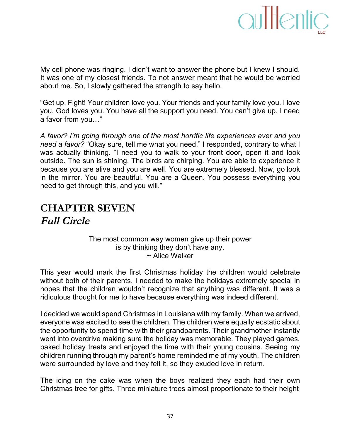

My cell phone was ringing. I didn't want to answer the phone but I knew I should. It was one of my closest friends. To not answer meant that he would be worried about me. So, I slowly gathered the strength to say hello.

"Get up. Fight! Your children love you. Your friends and your family love you. I love you. God loves you. You have all the support you need. You can't give up. I need a favor from you..."

A favor? I'm going through one of the most horrific life experiences ever and you *need a favor?* "Okay sure, tell me what you need," I responded, contrary to what I was actually thinking. "I need you to walk to your front door, open it and look outside. The sun is shining. The birds are chirping. You are able to experience it because you are alive and you are well. You are extremely blessed. Now, go look in the mirror. You are beautiful. You are a Queen. You possess everything you need to get through this, and you will."

### **CHAPTER SEVEN Full Circle**

#### The most common way women give up their power is by thinking they don't have any. ~ Alice Walker

This year would mark the first Christmas holiday the children would celebrate without both of their parents. I needed to make the holidays extremely special in hopes that the children wouldn't recognize that anything was different. It was a ridiculous thought for me to have because everything was indeed different.

I decided we would spend Christmas in Louisiana with my family. When we arrived, everyone was excited to see the children. The children were equally ecstatic about the opportunity to spend time with their grandparents. Their grandmother instantly went into overdrive making sure the holiday was memorable. They played games, baked holiday treats and enjoyed the time with their young cousins. Seeing my children running through my parent's home reminded me of my youth. The children were surrounded by love and they felt it, so they exuded love in return.

The icing on the cake was when the boys realized they each had their own Christmas tree for gifts. Three miniature trees almost proportionate to their height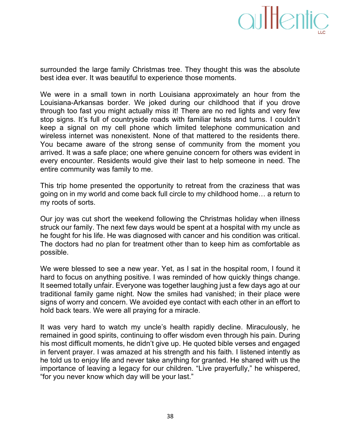

surrounded the large family Christmas tree. They thought this was the absolute best idea ever. It was beautiful to experience those moments.

We were in a small town in north Louisiana approximately an hour from the Louisiana-Arkansas border. We joked during our childhood that if you drove through too fast you might actually miss it! There are no red lights and very few stop signs. It's full of countryside roads with familiar twists and turns. I couldn't keep a signal on my cell phone which limited telephone communication and wireless internet was nonexistent. None of that mattered to the residents there. You became aware of the strong sense of community from the moment you arrived. It was a safe place; one where genuine concern for others was evident in every encounter. Residents would give their last to help someone in need. The entire community was family to me.

This trip home presented the opportunity to retreat from the craziness that was going on in my world and come back full circle to my childhood home... a return to my roots of sorts.

Our joy was cut short the weekend following the Christmas holiday when illness struck our family. The next few days would be spent at a hospital with my uncle as he fought for his life. He was diagnosed with cancer and his condition was critical. The doctors had no plan for treatment other than to keep him as comfortable as possible.

We were blessed to see a new year. Yet, as I sat in the hospital room, I found it hard to focus on anything positive. I was reminded of how quickly things change. It seemed totally unfair. Everyone was together laughing just a few days ago at our traditional family game night. Now the smiles had vanished; in their place were signs of worry and concern. We avoided eye contact with each other in an effort to hold back tears. We were all praying for a miracle.

It was very hard to watch my uncle's health rapidly decline. Miraculously, he remained in good spirits, continuing to offer wisdom even through his pain. During his most difficult moments, he didn't give up. He quoted bible verses and engaged in fervent prayer. I was amazed at his strength and his faith. I listened intently as he told us to enjoy life and never take anything for granted. He shared with us the importance of leaving a legacy for our children. "Live prayerfully," he whispered, "for you never know which day will be your last."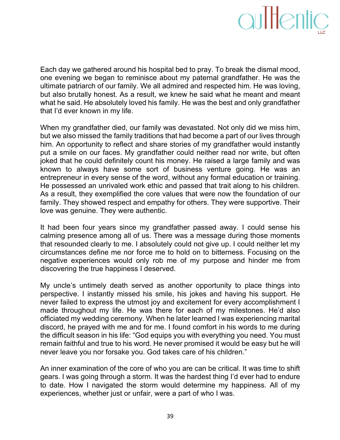

Each day we gathered around his hospital bed to pray. To break the dismal mood, one evening we began to reminisce about my paternal grandfather. He was the ultimate patriarch of our family. We all admired and respected him. He was loving, but also brutally honest. As a result, we knew he said what he meant and meant what he said. He absolutely loved his family. He was the best and only grandfather that I'd ever known in my life.

When my grandfather died, our family was devastated. Not only did we miss him, but we also missed the family traditions that had become a part of our lives through him. An opportunity to reflect and share stories of my grandfather would instantly put a smile on our faces. My grandfather could neither read nor write, but often joked that he could definitely count his money. He raised a large family and was known to always have some sort of business venture going. He was an entrepreneur in every sense of the word, without any formal education or training. He possessed an unrivaled work ethic and passed that trait along to his children. As a result, they exemplified the core values that were now the foundation of our family. They showed respect and empathy for others. They were supportive. Their love was genuine. They were authentic.

It had been four years since my grandfather passed away. I could sense his calming presence among all of us. There was a message during those moments that resounded clearly to me. I absolutely could not give up. I could neither let my circumstances define me nor force me to hold on to bitterness. Focusing on the negative experiences would only rob me of my purpose and hinder me from discovering the true happiness I deserved.

My uncle's untimely death served as another opportunity to place things into perspective. I instantly missed his smile, his jokes and having his support. He never failed to express the utmost joy and excitement for every accomplishment I made throughout my life. He was there for each of my milestones. He'd also officiated my wedding ceremony. When he later learned I was experiencing marital discord, he prayed with me and for me. I found comfort in his words to me during the difficult season in his life: "God equips you with everything you need. You must remain faithful and true to his word. He never promised it would be easy but he will never leave you nor forsake you. God takes care of his children."

An inner examination of the core of who you are can be critical. It was time to shift gears. I was going through a storm. It was the hardest thing I'd ever had to endure to date. How I navigated the storm would determine my happiness. All of my experiences, whether just or unfair, were a part of who I was.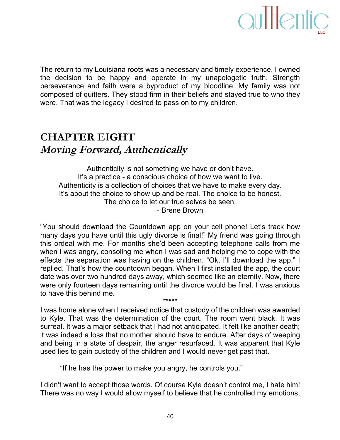

The return to my Louisiana roots was a necessary and timely experience. I owned the decision to be happy and operate in my unapologetic truth. Strength perseverance and faith were a byproduct of my bloodline. My family was not composed of quitters. They stood firm in their beliefs and stayed true to who they were. That was the legacy I desired to pass on to my children.

### **CHAPTER EIGHT Moving Forward, Authentically**

Authenticity is not something we have or don't have. It's a practice - a conscious choice of how we want to live. Authenticity is a collection of choices that we have to make every day. It's about the choice to show up and be real. The choice to be honest. The choice to let our true selves be seen. - Brene Brown

"You should download the Countdown app on your cell phone! Let's track how many days you have until this ugly divorce is final!" My friend was going through this ordeal with me. For months she'd been accepting telephone calls from me when I was angry, consoling me when I was sad and helping me to cope with the effects the separation was having on the children. "Ok, I'll download the app," I replied. That's how the countdown began. When I first installed the app, the court date was over two hundred days away, which seemed like an eternity. Now, there were only fourteen days remaining until the divorce would be final. I was anxious to have this behind me. \*\*\*\*\*

I was home alone when I received notice that custody of the children was awarded to Kyle. That was the determination of the court. The room went black. It was surreal. It was a major setback that I had not anticipated. It felt like another death; it was indeed a loss that no mother should have to endure. After days of weeping and being in a state of despair, the anger resurfaced. It was apparent that Kyle used lies to gain custody of the children and I would never get past that.

"If he has the power to make you angry, he controls you."

I didn't want to accept those words. Of course Kyle doesn't control me, I hate him! There was no way I would allow myself to believe that he controlled my emotions,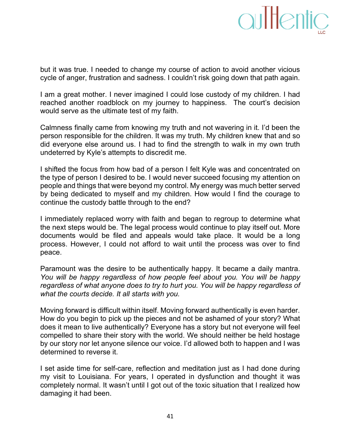

but it was true. I needed to change my course of action to avoid another vicious cycle of anger, frustration and sadness. I couldn't risk going down that path again.

I am a great mother. I never imagined I could lose custody of my children. I had reached another roadblock on my journey to happiness. The court's decision would serve as the ultimate test of my faith.

Calmness finally came from knowing my truth and not wavering in it. I'd been the person responsible for the children. It was my truth. My children knew that and so did everyone else around us. I had to find the strength to walk in my own truth undeterred by Kyle's attempts to discredit me.

I shifted the focus from how bad of a person I felt Kyle was and concentrated on the type of person I desired to be. I would never succeed focusing my attention on people and things that were beyond my control. My energy was much better served by being dedicated to myself and my children. How would I find the courage to continue the custody battle through to the end?

I immediately replaced worry with faith and began to regroup to determine what the next steps would be. The legal process would continue to play itself out. More documents would be filed and appeals would take place. It would be a long process. However, I could not afford to wait until the process was over to find peace.

Paramount was the desire to be authentically happy. It became a daily mantra. *You) will) be) happy) regardless) of) how) people)feel) about) you.)You) will) be) happy)* regardless of what anyone does to try to hurt you. You will be happy regardless of what the courts decide. It all starts with you.

Moving forward is difficult within itself. Moving forward authentically is even harder. How do you begin to pick up the pieces and not be ashamed of your story? What does it mean to live authentically? Everyone has a story but not everyone will feel compelled to share their story with the world. We should neither be held hostage by our story nor let anyone silence our voice. I'd allowed both to happen and I was determined to reverse it.

I set aside time for self-care, reflection and meditation just as I had done during my visit to Louisiana. For years, I operated in dysfunction and thought it was completely normal. It wasn't until I got out of the toxic situation that I realized how damaging it had been.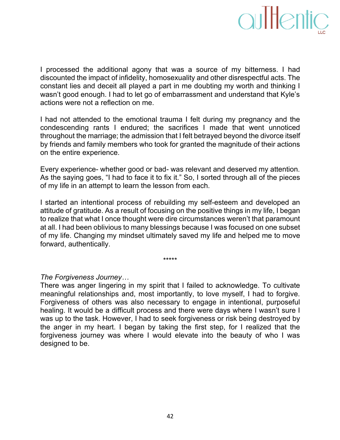

I processed the additional agony that was a source of my bitterness. I had discounted the impact of infidelity, homosexuality and other disrespectful acts. The constant lies and deceit all played a part in me doubting my worth and thinking I wasn't good enough. I had to let go of embarrassment and understand that Kyle's actions were not a reflection on me.

I had not attended to the emotional trauma I felt during my pregnancy and the condescending rants I endured; the sacrifices I made that went unnoticed throughout the marriage; the admission that I felt betrayed beyond the divorce itself by friends and family members who took for granted the magnitude of their actions on the entire experience.

Every experience- whether good or bad- was relevant and deserved my attention. As the saying goes, "I had to face it to fix it." So, I sorted through all of the pieces of my life in an attempt to learn the lesson from each.

I started an intentional process of rebuilding my self-esteem and developed an attitude of gratitude. As a result of focusing on the positive things in my life, I began to realize that what I once thought were dire circumstances weren't that paramount at all. I had been oblivious to many blessings because I was focused on one subset of my life. Changing my mindset ultimately saved my life and helped me to move forward, authentically.

\*\*\*\*\*

#### *The)Forgiveness)Journey…*

There was anger lingering in my spirit that I failed to acknowledge. To cultivate meaningful relationships and, most importantly, to love myself, I had to forgive. Forgiveness of others was also necessary to engage in intentional, purposeful healing. It would be a difficult process and there were days where I wasn't sure I was up to the task. However, I had to seek forgiveness or risk being destroyed by the anger in my heart. I began by taking the first step, for I realized that the forgiveness journey was where I would elevate into the beauty of who I was designed to be.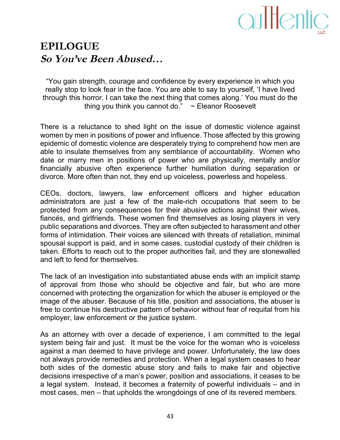

### **EPILOGUE So You've Been Abused…**

"You gain strength, courage and confidence by every experience in which you really stop to look fear in the face. You are able to say to yourself, 'I have lived through this horror. I can take the next thing that comes along.' You must do the thing you think you cannot do."  $\sim$  Eleanor Roosevelt

There is a reluctance to shed light on the issue of domestic violence against women by men in positions of power and influence. Those affected by this growing epidemic of domestic violence are desperately trying to comprehend how men are able to insulate themselves from any semblance of accountability. Women who date or marry men in positions of power who are physically, mentally and/or financially abusive often experience further humiliation during separation or divorce. More often than not, they end up voiceless, powerless and hopeless.

CEOs, doctors, lawyers, law enforcement officers and higher education administrators are just a few of the male-rich occupations that seem to be protected from any consequences for their abusive actions against their wives, fiancés, and girlfriends. These women find themselves as losing players in very public separations and divorces. They are often subjected to harassment and other forms of intimidation. Their voices are silenced with threats of retaliation, minimal spousal support is paid, and in some cases, custodial custody of their children is taken. Efforts to reach out to the proper authorities fail, and they are stonewalled and left to fend for themselves.

The lack of an investigation into substantiated abuse ends with an implicit stamp of approval from those who should be objective and fair, but who are more concerned with protecting the organization for which the abuser is employed or the image of the abuser. Because of his title, position and associations, the abuser is free to continue his destructive pattern of behavior without fear of requital from his employer, law enforcement or the justice system.

As an attorney with over a decade of experience, I am committed to the legal system being fair and just. It must be the voice for the woman who is voiceless against a man deemed to have privilege and power. Unfortunately, the law does not always provide remedies and protection. When a legal system ceases to hear both sides of the domestic abuse story and fails to make fair and objective decisions irrespective of a man's power, position and associations, it ceases to be a legal system. Instead, it becomes a fraternity of powerful individuals  $-$  and in most cases, men – that upholds the wrongdoings of one of its revered members.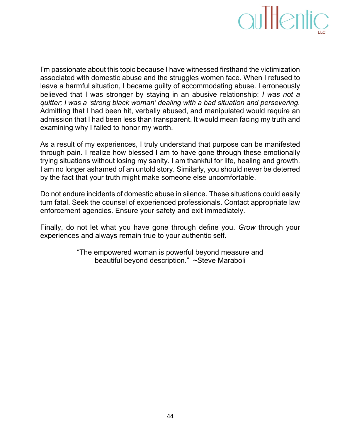

I'm passionate about this topic because I have witnessed firsthand the victimization associated with domestic abuse and the struggles women face. When I refused to leave a harmful situation, I became quilty of accommodating abuse. I erroneously believed that I was stronger by staying in an abusive relationship: *I was not a quitter; I was a 'strong black woman' dealing with a bad situation and persevering.* Admitting that I had been hit, verbally abused, and manipulated would require an admission that I had been less than transparent. It would mean facing my truth and examining why I failed to honor my worth.

As a result of my experiences, I truly understand that purpose can be manifested through pain. I realize how blessed I am to have gone through these emotionally trying situations without losing my sanity. I am thankful for life, healing and growth. I am no longer ashamed of an untold story. Similarly, you should never be deterred by the fact that your truth might make someone else uncomfortable.

Do not endure incidents of domestic abuse in silence. These situations could easily turn fatal. Seek the counsel of experienced professionals. Contact appropriate law enforcement agencies. Ensure your safety and exit immediately.

Finally, do not let what you have gone through define you. *Grow* through your experiences and always remain true to your authentic self.

> "The empowered woman is powerful beyond measure and beautiful beyond description." ~Steve Maraboli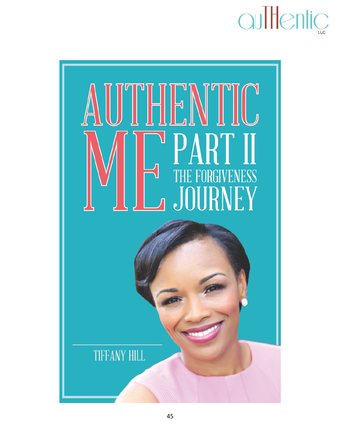

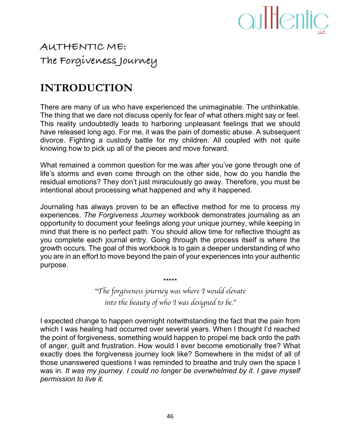

### **AUTHENTIC ME: The Forgiveness Journey**

#### **INTRODUCTION**

There are many of us who have experienced the unimaginable. The unthinkable. The thing that we dare not discuss openly for fear of what others might say or feel. This reality undoubtedly leads to harboring unpleasant feelings that we should have released long ago. For me, it was the pain of domestic abuse. A subsequent divorce. Fighting a custody battle for my children. All coupled with not quite knowing how to pick up all of the pieces and move forward.

What remained a common question for me was after you've gone through one of life's storms and even come through on the other side, how do you handle the residual emotions? They don't just miraculously go away. Therefore, you must be intentional about processing what happened and why it happened.

Journaling has always proven to be an effective method for me to process my experiences. *The Forgiveness Journey* workbook demonstrates journaling as an opportunity to document your feelings along your unique journey, while keeping in mind that there is no perfect path. You should allow time for reflective thought as you complete each journal entry. Going through the process itself is where the growth occurs. The goal of this workbook is to gain a deeper understanding of who you are in an effort to move beyond the pain of your experiences into your authentic purpose.

> "*The forgiveness journey was where I would elevate into the beauty of who I was designed to be.*"

\*\*\*\*\*

I expected change to happen overnight notwithstanding the fact that the pain from which I was healing had occurred over several years. When I thought I'd reached the point of forgiveness, something would happen to propel me back onto the path of anger, guilt and frustration. How would I ever become emotionally free? What exactly does the forgiveness journey look like? Somewhere in the midst of all of those unanswered questions I was reminded to breathe and truly own the space I was in. It was my journey. I could no longer be overwhelmed by it. I gave myself *permission to live it.*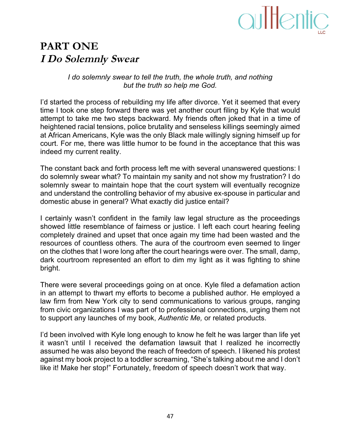#### **PART ONE I Do Solemnly Swear**

*I* do solemnly swear to tell the truth, the whole truth, and nothing but the truth so help me God.

I'd started the process of rebuilding my life after divorce. Yet it seemed that every time I took one step forward there was yet another court filing by Kyle that would attempt to take me two steps backward. My friends often joked that in a time of heightened racial tensions, police brutality and senseless killings seemingly aimed at African Americans, Kyle was the only Black male willingly signing himself up for court. For me, there was little humor to be found in the acceptance that this was indeed my current reality.

The constant back and forth process left me with several unanswered questions: I do solemnly swear what? To maintain my sanity and not show my frustration? I do solemnly swear to maintain hope that the court system will eventually recognize and understand the controlling behavior of my abusive ex-spouse in particular and domestic abuse in general? What exactly did justice entail?

I certainly wasn't confident in the family law legal structure as the proceedings showed little resemblance of fairness or justice. I left each court hearing feeling completely drained and upset that once again my time had been wasted and the resources of countless others. The aura of the courtroom even seemed to linger on the clothes that I wore long after the court hearings were over. The small, damp, dark courtroom represented an effort to dim my light as it was fighting to shine bright.

There were several proceedings going on at once. Kyle filed a defamation action in an attempt to thwart my efforts to become a published author. He employed a law firm from New York city to send communications to various groups, ranging from civic organizations I was part of to professional connections, urging them not to support any launches of my book, Authentic Me, or related products.

I'd been involved with Kyle long enough to know he felt he was larger than life yet it wasn't until I received the defamation lawsuit that I realized he incorrectly assumed he was also beyond the reach of freedom of speech. I likened his protest against my book project to a toddler screaming, "She's talking about me and I don't like it! Make her stop!" Fortunately, freedom of speech doesn't work that way.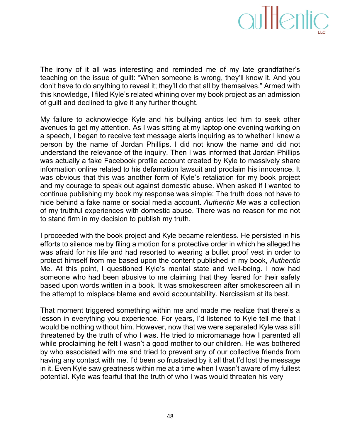

The irony of it all was interesting and reminded me of my late grandfather's teaching on the issue of guilt: "When someone is wrong, they'll know it. And you don't have to do anything to reveal it; they'll do that all by themselves." Armed with this knowledge, I filed Kyle's related whining over my book project as an admission of guilt and declined to give it any further thought.

My failure to acknowledge Kyle and his bullying antics led him to seek other avenues to get my attention. As I was sitting at my laptop one evening working on a speech, I began to receive text message alerts inquiring as to whether I knew a person by the name of Jordan Phillips. I did not know the name and did not understand the relevance of the inquiry. Then I was informed that Jordan Phillips was actually a fake Facebook profile account created by Kyle to massively share information online related to his defamation lawsuit and proclaim his innocence. It was obvious that this was another form of Kyle's retaliation for my book project and my courage to speak out against domestic abuse. When asked if I wanted to continue publishing my book my response was simple: The truth does not have to hide behind a fake name or social media account. Authentic Me was a collection of my truthful experiences with domestic abuse. There was no reason for me not to stand firm in my decision to publish my truth.

I proceeded with the book project and Kyle became relentless. He persisted in his efforts to silence me by filing a motion for a protective order in which he alleged he was afraid for his life and had resorted to wearing a bullet proof vest in order to protect himself from me based upon the content published in my book, *Authentic* Me. At this point, I questioned Kyle's mental state and well-being. I now had someone who had been abusive to me claiming that they feared for their safety based upon words written in a book. It was smokescreen after smokescreen all in the attempt to misplace blame and avoid accountability. Narcissism at its best.

That moment triggered something within me and made me realize that there's a lesson in everything you experience. For years, I'd listened to Kyle tell me that I would be nothing without him. However, now that we were separated Kyle was still threatened by the truth of who I was. He tried to micromanage how I parented all while proclaiming he felt I wasn't a good mother to our children. He was bothered by who associated with me and tried to prevent any of our collective friends from having any contact with me. I'd been so frustrated by it all that I'd lost the message in it. Even Kyle saw greatness within me at a time when I wasn't aware of my fullest potential. Kyle was fearful that the truth of who I was would threaten his very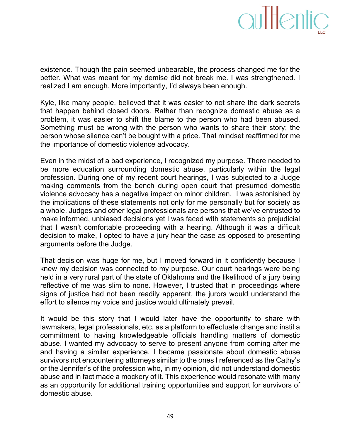### aultentic

existence. Though the pain seemed unbearable, the process changed me for the better. What was meant for my demise did not break me. I was strengthened. I realized I am enough. More importantly, I'd always been enough.

Kyle, like many people, believed that it was easier to not share the dark secrets that happen behind closed doors. Rather than recognize domestic abuse as a problem, it was easier to shift the blame to the person who had been abused. Something must be wrong with the person who wants to share their story; the person whose silence can't be bought with a price. That mindset reaffirmed for me the importance of domestic violence advocacy.

Even in the midst of a bad experience, I recognized my purpose. There needed to be more education surrounding domestic abuse, particularly within the legal profession. During one of my recent court hearings, I was subjected to a Judge making comments from the bench during open court that presumed domestic violence advocacy has a negative impact on minor children. I was astonished by the implications of these statements not only for me personally but for society as a whole. Judges and other legal professionals are persons that we've entrusted to make informed, unbiased decisions yet I was faced with statements so prejudicial that I wasn't comfortable proceeding with a hearing. Although it was a difficult decision to make, I opted to have a jury hear the case as opposed to presenting arguments before the Judge.

That decision was huge for me, but I moved forward in it confidently because I knew my decision was connected to my purpose. Our court hearings were being held in a very rural part of the state of Oklahoma and the likelihood of a jury being reflective of me was slim to none. However, I trusted that in proceedings where signs of justice had not been readily apparent, the jurors would understand the effort to silence my voice and justice would ultimately prevail.

It would be this story that I would later have the opportunity to share with lawmakers, legal professionals, etc. as a platform to effectuate change and instil a commitment to having knowledgeable officials handling matters of domestic abuse. I wanted my advocacy to serve to present anyone from coming after me and having a similar experience. I became passionate about domestic abuse survivors not encountering attorneys similar to the ones I referenced as the Cathy's or the Jennifer's of the profession who, in my opinion, did not understand domestic abuse and in fact made a mockery of it. This experience would resonate with many as an opportunity for additional training opportunities and support for survivors of domestic abuse.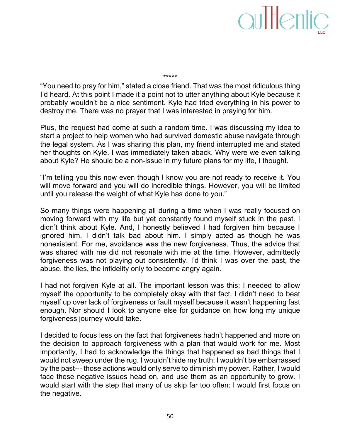"You need to pray for him," stated a close friend. That was the most ridiculous thing I'd heard. At this point I made it a point not to utter anything about Kyle because it probably wouldn't be a nice sentiment. Kyle had tried everything in his power to destroy me. There was no prayer that I was interested in praying for him.

\*\*\*\*\*

Plus, the request had come at such a random time. I was discussing my idea to start a project to help women who had survived domestic abuse navigate through the legal system. As I was sharing this plan, my friend interrupted me and stated her thoughts on Kyle. I was immediately taken aback. Why were we even talking about Kyle? He should be a non-issue in my future plans for my life, I thought.

"I'm telling you this now even though I know you are not ready to receive it. You will move forward and you will do incredible things. However, you will be limited until you release the weight of what Kyle has done to you."

So many things were happening all during a time when I was really focused on moving forward with my life but yet constantly found myself stuck in the past. I didn't think about Kyle. And, I honestly believed I had forgiven him because I ignored him. I didn't talk bad about him. I simply acted as though he was nonexistent. For me, avoidance was the new forgiveness. Thus, the advice that was shared with me did not resonate with me at the time. However, admittedly forgiveness was not playing out consistently. I'd think I was over the past, the abuse, the lies, the infidelity only to become angry again.

I had not forgiven Kyle at all. The important lesson was this: I needed to allow myself the opportunity to be completely okay with that fact. I didn't need to beat myself up over lack of forgiveness or fault myself because it wasn't happening fast enough. Nor should I look to anyone else for guidance on how long my unique forgiveness journey would take.

I decided to focus less on the fact that forgiveness hadn't happened and more on the decision to approach forgiveness with a plan that would work for me. Most importantly, I had to acknowledge the things that happened as bad things that I would not sweep under the rug. I wouldn't hide my truth; I wouldn't be embarrassed by the past--- those actions would only serve to diminish my power. Rather, I would face these negative issues head on, and use them as an opportunity to grow. I would start with the step that many of us skip far too often: I would first focus on the negative.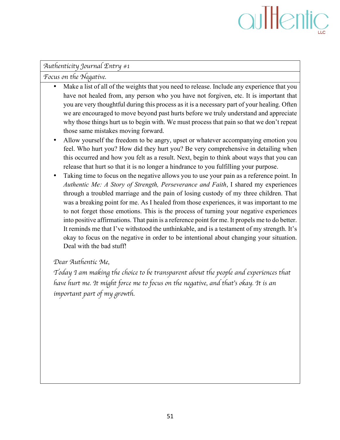## aultentic

#### *Authenticity Journal Entry #1*

*Focus on the Negative.* 

- Make a list of all of the weights that you need to release. Include any experience that you have not healed from, any person who you have not forgiven, etc. It is important that you are very thoughtful during this process as it is a necessary part of your healing. Often we are encouraged to move beyond past hurts before we truly understand and appreciate why those things hurt us to begin with. We must process that pain so that we don't repeat those same mistakes moving forward.
- Allow yourself the freedom to be angry, upset or whatever accompanying emotion you feel. Who hurt you? How did they hurt you? Be very comprehensive in detailing when this occurred and how you felt as a result. Next, begin to think about ways that you can release that hurt so that it is no longer a hindrance to you fulfilling your purpose.
- Taking time to focus on the negative allows you to use your pain as a reference point. In *Authentic Me: A Story of Strength, Perseverance and Faith*, I shared my experiences through a troubled marriage and the pain of losing custody of my three children. That was a breaking point for me. As I healed from those experiences, it was important to me to not forget those emotions. This is the process of turning your negative experiences into positive affirmations. That pain is a reference point for me. It propels me to do better. It reminds me that I've withstood the unthinkable, and is a testament of my strength. It's okay to focus on the negative in order to be intentional about changing your situation. Deal with the bad stuff!

#### *Dear Authentic Me,*

*Today I am making the choice to be transparent about the people and experiences that have hurt me. It might force me to focus on the negative, and that*'*s okay. It is an important part of my growth.*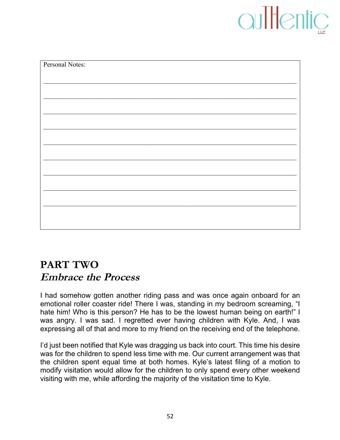## aultentic

| Personal Notes: |  |
|-----------------|--|
|                 |  |
|                 |  |
|                 |  |
|                 |  |
|                 |  |
|                 |  |
|                 |  |
|                 |  |
|                 |  |
|                 |  |
|                 |  |
|                 |  |

### **PART TWO Embrace the Process**

I had somehow gotten another riding pass and was once again onboard for an emotional roller coaster ride! There I was, standing in my bedroom screaming, "I hate him! Who is this person? He has to be the lowest human being on earth!" I was angry. I was sad. I regretted ever having children with Kyle. And, I was expressing all of that and more to my friend on the receiving end of the telephone.

I'd just been notified that Kyle was dragging us back into court. This time his desire was for the children to spend less time with me. Our current arrangement was that the children spent equal time at both homes. Kyle's latest filing of a motion to modify visitation would allow for the children to only spend every other weekend visiting with me, while affording the majority of the visitation time to Kyle.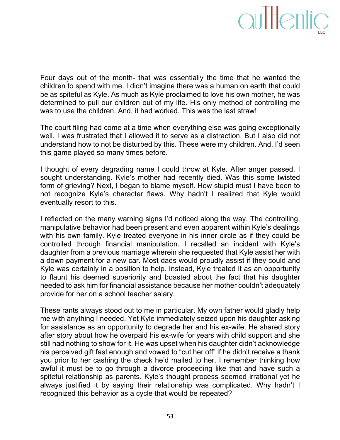

Four days out of the month- that was essentially the time that he wanted the children to spend with me. I didn't imagine there was a human on earth that could be as spiteful as Kyle. As much as Kyle proclaimed to love his own mother, he was determined to pull our children out of my life. His only method of controlling me was to use the children. And, it had worked. This was the last straw!

The court filing had come at a time when everything else was going exceptionally well. I was frustrated that I allowed it to serve as a distraction. But I also did not understand how to not be disturbed by this. These were my children. And, I'd seen this game played so many times before.

I thought of every degrading name I could throw at Kyle. After anger passed, I sought understanding. Kyle's mother had recently died. Was this some twisted form of grieving? Next, I began to blame myself. How stupid must I have been to not recognize Kyle's character flaws. Why hadn't I realized that Kyle would eventually resort to this.

I reflected on the many warning signs I'd noticed along the way. The controlling, manipulative behavior had been present and even apparent within Kyle's dealings with his own family. Kyle treated everyone in his inner circle as if they could be controlled through financial manipulation. I recalled an incident with Kyle's daughter from a previous marriage wherein she requested that Kyle assist her with a down payment for a new car. Most dads would proudly assist if they could and Kyle was certainly in a position to help. Instead, Kyle treated it as an opportunity to flaunt his deemed superiority and boasted about the fact that his daughter needed to ask him for financial assistance because her mother couldn't adequately provide for her on a school teacher salary.

These rants always stood out to me in particular. My own father would gladly help me with anything I needed. Yet Kyle immediately seized upon his daughter asking for assistance as an opportunity to degrade her and his ex-wife. He shared story after story about how he overpaid his ex-wife for years with child support and she still had nothing to show for it. He was upset when his daughter didn't acknowledge his perceived gift fast enough and vowed to "cut her off" if he didn't receive a thank you prior to her cashing the check he'd mailed to her. I remember thinking how awful it must be to go through a divorce proceeding like that and have such a spiteful relationship as parents. Kyle's thought process seemed irrational yet he always justified it by saying their relationship was complicated. Why hadn't I recognized this behavior as a cycle that would be repeated?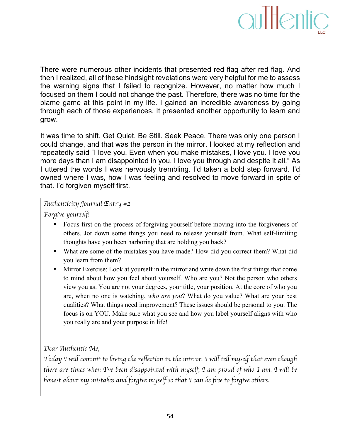

There were numerous other incidents that presented red flag after red flag. And then I realized, all of these hindsight revelations were very helpful for me to assess the warning signs that I failed to recognize. However, no matter how much I focused on them I could not change the past. Therefore, there was no time for the blame game at this point in my life. I gained an incredible awareness by going through each of those experiences. It presented another opportunity to learn and grow.

It was time to shift. Get Quiet. Be Still. Seek Peace. There was only one person I could change, and that was the person in the mirror. I looked at my reflection and repeatedly said "I love you. Even when you make mistakes, I love you. I love you more days than I am disappointed in you. I love you through and despite it all." As I uttered the words I was nervously trembling. I'd taken a bold step forward. I'd owned where I was, how I was feeling and resolved to move forward in spite of that. I'd forgiven myself first.

#### *Authenticity Journal Entry #2*

*Forgive yourself!*

- Focus first on the process of forgiving yourself before moving into the forgiveness of others. Jot down some things you need to release yourself from. What self-limiting thoughts have you been harboring that are holding you back?
- What are some of the mistakes you have made? How did you correct them? What did you learn from them?
- Mirror Exercise: Look at yourself in the mirror and write down the first things that come to mind about how you feel about yourself. Who are you? Not the person who others view you as. You are not your degrees, your title, your position. At the core of who you are, when no one is watching, *who are you*? What do you value? What are your best qualities? What things need improvement? These issues should be personal to you. The focus is on YOU. Make sure what you see and how you label yourself aligns with who you really are and your purpose in life!

#### *Dear Authentic Me,*

*Today I will commit to loving the reflection in the mirror. I will tell myself that even though there are times when I*'*ve been disappointed with myself, I am proud of who I am. I will be honest about my mistakes and forgive myself so that I can be free to forgive others.*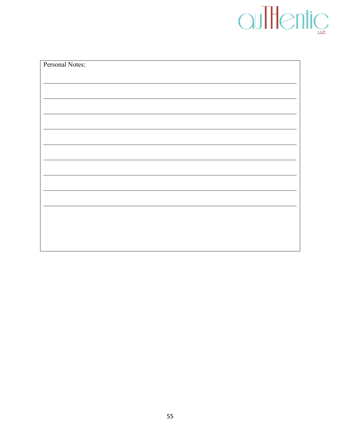# OuTHentic

| Personal Notes: |
|-----------------|
|                 |
|                 |
|                 |
|                 |
|                 |
|                 |
|                 |
|                 |
|                 |
|                 |
|                 |
|                 |
|                 |
|                 |
|                 |
|                 |
|                 |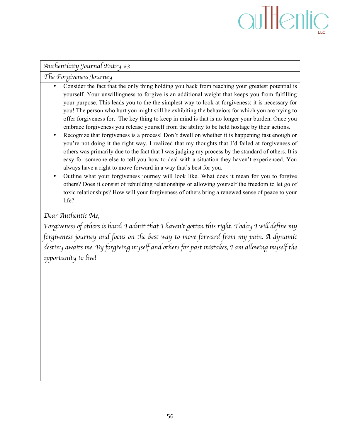## aultentic

#### *Authenticity Journal Entry #3*

*The Forgiveness Journey* 

- Consider the fact that the only thing holding you back from reaching your greatest potential is yourself. Your unwillingness to forgive is an additional weight that keeps you from fulfilling your purpose. This leads you to the the simplest way to look at forgiveness: it is necessary for you! The person who hurt you might still be exhibiting the behaviors for which you are trying to offer forgiveness for. The key thing to keep in mind is that is no longer your burden. Once you embrace forgiveness you release yourself from the ability to be held hostage by their actions.
- Recognize that forgiveness is a process! Don't dwell on whether it is happening fast enough or you're not doing it the right way. I realized that my thoughts that I'd failed at forgiveness of others was primarily due to the fact that I was judging my process by the standard of others. It is easy for someone else to tell you how to deal with a situation they haven't experienced. You always have a right to move forward in a way that's best for you.
- Outline what your forgiveness journey will look like. What does it mean for you to forgive others? Does it consist of rebuilding relationships or allowing yourself the freedom to let go of toxic relationships? How will your forgiveness of others bring a renewed sense of peace to your life?

*Dear Authentic Me,*

*Forgiveness of others is hard! I admit that I haven*'*t gotten this right. Today I will define my forgiveness journey and focus on the best way to move forward from my pain. A dynamic destiny awaits me. By forgiving myself and others for past mistakes, I am allowing myself the opportunity to live!*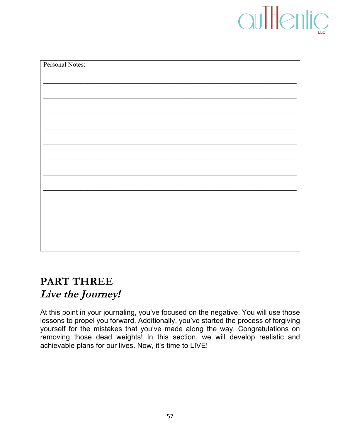## auThentic

| Personal Notes: |  |
|-----------------|--|
|                 |  |
|                 |  |
|                 |  |
|                 |  |
|                 |  |
|                 |  |
|                 |  |
|                 |  |
|                 |  |
|                 |  |
|                 |  |
|                 |  |
|                 |  |
|                 |  |
|                 |  |

### **PART THREE Live the Journey!**

At this point in your journaling, you've focused on the negative. You will use those lessons to propel you forward. Additionally, you've started the process of forgiving yourself for the mistakes that you've made along the way. Congratulations on removing those dead weights! In this section, we will develop realistic and achievable plans for our lives. Now, it's time to LIVE!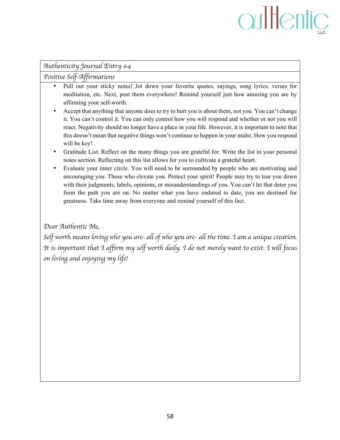## aultentic

#### *Authenticity Journal Entry #4*

*Positive Self-Affirmations* 

- Pull out your sticky notes! Jot down your favorite quotes, sayings, song lyrics, verses for meditation, etc. Next, post them everywhere! Remind yourself just how amazing you are by affirming your self-worth.
- Accept that anything that anyone does to try to hurt you is about them, not you. You can't change it. You can't control it. You can only control how you will respond and whether or not you will react. Negativity should no longer have a place in your life. However, it is important to note that this doesn't mean that negative things won't continue to happen in your midst. How you respond will be key!
- Gratitude List. Reflect on the many things you are grateful for. Write the list in your personal notes section. Reflecting on this list allows for you to cultivate a grateful heart.
- Evaluate your inner circle. You will need to be surrounded by people who are motivating and encouraging you. Those who elevate you. Protect your spirit! People may try to tear you down with their judgments, labels, opinions, or misunderstandings of you. You can't let that deter you from the path you are on. No matter what you have endured to date, you are destined for greatness. Take time away from everyone and remind yourself of this fact.

*Dear Authentic Me,*

*Self worth means loving who you are- all of who you are- all the time. I am a unique creation. It is important that I affirm my self worth daily. I do not merely want to exist. I will focus on living and enjoying my life!*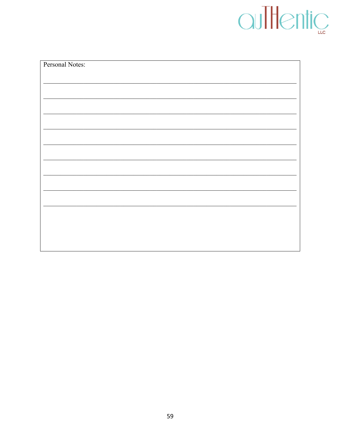| Personal Notes: |
|-----------------|
|                 |
|                 |
|                 |
|                 |
|                 |
|                 |
|                 |
|                 |
|                 |
|                 |
|                 |
|                 |
|                 |
|                 |
|                 |
|                 |
|                 |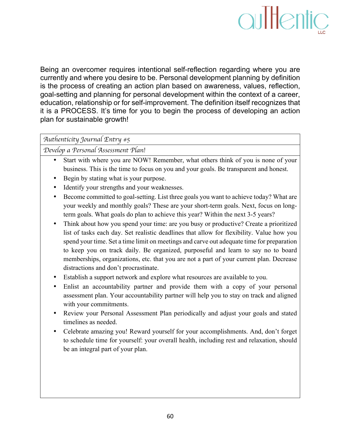

Being an overcomer requires intentional self-reflection regarding where you are currently and where you desire to be. Personal development planning by definition is the process of creating an action plan based on awareness, values, reflection, goal-setting and planning for personal development within the context of a career, education, relationship or for self-improvement. The definition itself recognizes that it is a PROCESS. It's time for you to begin the process of developing an action plan for sustainable growth!

*Authenticity Journal Entry #5*

*Develop a Personal Assessment Plan!*

- Start with where you are NOW! Remember, what others think of you is none of your business. This is the time to focus on you and your goals. Be transparent and honest.
- Begin by stating what is your purpose.
- Identify your strengths and your weaknesses.
- Become committed to goal-setting. List three goals you want to achieve today? What are your weekly and monthly goals? These are your short-term goals. Next, focus on longterm goals. What goals do plan to achieve this year? Within the next 3-5 years?
- Think about how you spend your time: are you busy or productive? Create a prioritized list of tasks each day. Set realistic deadlines that allow for flexibility. Value how you spend your time. Set a time limit on meetings and carve out adequate time for preparation to keep you on track daily. Be organized, purposeful and learn to say no to board memberships, organizations, etc. that you are not a part of your current plan. Decrease distractions and don't procrastinate.
- Establish a support network and explore what resources are available to you.
- Enlist an accountability partner and provide them with a copy of your personal assessment plan. Your accountability partner will help you to stay on track and aligned with your commitments.
- Review your Personal Assessment Plan periodically and adjust your goals and stated timelines as needed.
- Celebrate amazing you! Reward yourself for your accomplishments. And, don't forget to schedule time for yourself: your overall health, including rest and relaxation, should be an integral part of your plan.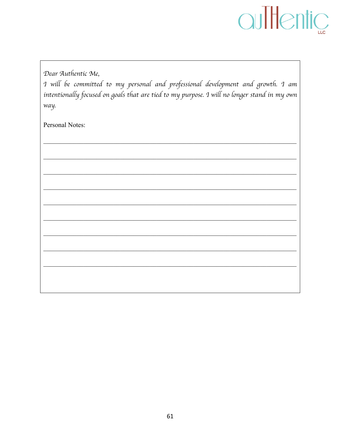

Dear Authentic Me,

I will be committed to my personal and professional development and growth. I am intentionally focused on goals that are tied to my purpose. I will no longer stand in my own way.

Personal Notes: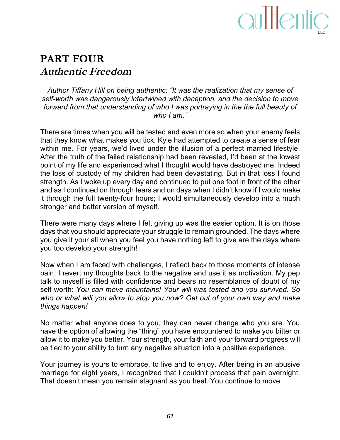

### **PART FOUR Authentic Freedom**

Author Tiffany Hill on being authentic: "It was the realization that my sense of self-worth was dangerously intertwined with deception, and the decision to move forward from that understanding of who I was portraying in the the full beauty of who I am."

There are times when you will be tested and even more so when your enemy feels that they know what makes you tick. Kyle had attempted to create a sense of fear within me. For years, we'd lived under the illusion of a perfect married lifestyle. After the truth of the failed relationship had been revealed, I'd been at the lowest point of my life and experienced what I thought would have destroyed me. Indeed the loss of custody of my children had been devastating. But in that loss I found strength. As I woke up every day and continued to put one foot in front of the other and as I continued on through tears and on days when I didn't know if I would make it through the full twenty-four hours; I would simultaneously develop into a much stronger and better version of myself.

There were many days where I felt giving up was the easier option. It is on those days that you should appreciate your struggle to remain grounded. The days where you give it your all when you feel you have nothing left to give are the days where you too develop your strength!

Now when I am faced with challenges, I reflect back to those moments of intense pain. I revert my thoughts back to the negative and use it as motivation. My pep talk to myself is filled with confidence and bears no resemblance of doubt of my self worth: *You can move mountains! Your will was tested and you survived. So* who or what will you allow to stop you now? Get out of your own way and make *things)happen!*

No matter what anyone does to you, they can never change who you are. You have the option of allowing the "thing" you have encountered to make you bitter or allow it to make you better. Your strength, your faith and your forward progress will be tied to your ability to turn any negative situation into a positive experience.

Your journey is yours to embrace, to live and to enjoy. After being in an abusive marriage for eight years, I recognized that I couldn't process that pain overnight. That doesn't mean you remain stagnant as you heal. You continue to move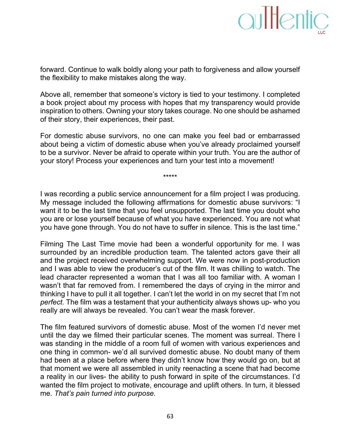forward. Continue to walk boldly along your path to forgiveness and allow yourself the flexibility to make mistakes along the way.

Above all, remember that someone's victory is tied to your testimony. I completed a book project about my process with hopes that my transparency would provide inspiration to others. Owning your story takes courage. No one should be ashamed of their story, their experiences, their past.

For domestic abuse survivors, no one can make you feel bad or embarrassed about being a victim of domestic abuse when you've already proclaimed yourself to be a survivor. Never be afraid to operate within your truth. You are the author of your story! Process your experiences and turn your test into a movement!

\*\*\*\*\*

I was recording a public service announcement for a film project I was producing. My message included the following affirmations for domestic abuse survivors: "I want it to be the last time that you feel unsupported. The last time you doubt who you are or lose yourself because of what you have experienced. You are not what you have gone through. You do not have to suffer in silence. This is the last time."

Filming The Last Time movie had been a wonderful opportunity for me. I was surrounded by an incredible production team. The talented actors gave their all and the project received overwhelming support. We were now in post-production and I was able to view the producer's cut of the film. It was chilling to watch. The lead character represented a woman that I was all too familiar with. A woman I wasn't that far removed from. I remembered the days of crying in the mirror and thinking I have to pull it all together. I can't let the world in on my secret that I'm not *perfect.* The film was a testament that your authenticity always shows up- who you really are will always be revealed. You can't wear the mask forever.

The film featured survivors of domestic abuse. Most of the women I'd never met until the day we filmed their particular scenes. The moment was surreal. There I was standing in the middle of a room full of women with various experiences and one thing in common- we'd all survived domestic abuse. No doubt many of them had been at a place before where they didn't know how they would go on, but at that moment we were all assembled in unity reenacting a scene that had become a reality in our lives- the ability to push forward in spite of the circumstances. I'd wanted the film project to motivate, encourage and uplift others. In turn, it blessed me.!*That's)pain)turned)into)purpose.*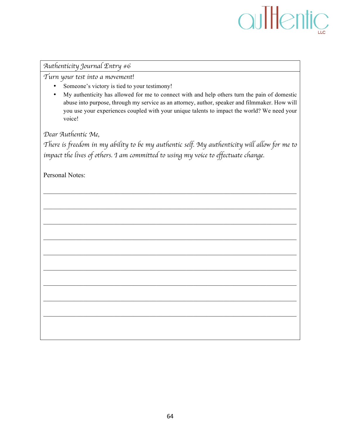#### *Authenticity Journal Entry #6*

*Turn your test into a movement!*

- Someone's victory is tied to your testimony!
- My authenticity has allowed for me to connect with and help others turn the pain of domestic abuse into purpose, through my service as an attorney, author, speaker and filmmaker. How will you use your experiences coupled with your unique talents to impact the world? We need your voice!

*Dear Authentic Me,*

*There is freedom in my ability to be my authentic self. My authenticity will allow for me to impact the lives of others. I am committed to using my voice to effectuate change.*

 $\mathcal{L}_\mathcal{L} = \{ \mathcal{L}_\mathcal{L} = \{ \mathcal{L}_\mathcal{L} = \{ \mathcal{L}_\mathcal{L} = \{ \mathcal{L}_\mathcal{L} = \{ \mathcal{L}_\mathcal{L} = \{ \mathcal{L}_\mathcal{L} = \{ \mathcal{L}_\mathcal{L} = \{ \mathcal{L}_\mathcal{L} = \{ \mathcal{L}_\mathcal{L} = \{ \mathcal{L}_\mathcal{L} = \{ \mathcal{L}_\mathcal{L} = \{ \mathcal{L}_\mathcal{L} = \{ \mathcal{L}_\mathcal{L} = \{ \mathcal{L}_\mathcal{$ 

 $\mathcal{L}_\mathcal{L} = \{ \mathcal{L}_\mathcal{L} = \{ \mathcal{L}_\mathcal{L} = \{ \mathcal{L}_\mathcal{L} = \{ \mathcal{L}_\mathcal{L} = \{ \mathcal{L}_\mathcal{L} = \{ \mathcal{L}_\mathcal{L} = \{ \mathcal{L}_\mathcal{L} = \{ \mathcal{L}_\mathcal{L} = \{ \mathcal{L}_\mathcal{L} = \{ \mathcal{L}_\mathcal{L} = \{ \mathcal{L}_\mathcal{L} = \{ \mathcal{L}_\mathcal{L} = \{ \mathcal{L}_\mathcal{L} = \{ \mathcal{L}_\mathcal{$ 

 $\mathcal{L}_\mathcal{L} = \{ \mathcal{L}_\mathcal{L} = \{ \mathcal{L}_\mathcal{L} = \{ \mathcal{L}_\mathcal{L} = \{ \mathcal{L}_\mathcal{L} = \{ \mathcal{L}_\mathcal{L} = \{ \mathcal{L}_\mathcal{L} = \{ \mathcal{L}_\mathcal{L} = \{ \mathcal{L}_\mathcal{L} = \{ \mathcal{L}_\mathcal{L} = \{ \mathcal{L}_\mathcal{L} = \{ \mathcal{L}_\mathcal{L} = \{ \mathcal{L}_\mathcal{L} = \{ \mathcal{L}_\mathcal{L} = \{ \mathcal{L}_\mathcal{$ 

 $\mathcal{L}_\mathcal{L} = \{ \mathcal{L}_\mathcal{L} = \{ \mathcal{L}_\mathcal{L} = \{ \mathcal{L}_\mathcal{L} = \{ \mathcal{L}_\mathcal{L} = \{ \mathcal{L}_\mathcal{L} = \{ \mathcal{L}_\mathcal{L} = \{ \mathcal{L}_\mathcal{L} = \{ \mathcal{L}_\mathcal{L} = \{ \mathcal{L}_\mathcal{L} = \{ \mathcal{L}_\mathcal{L} = \{ \mathcal{L}_\mathcal{L} = \{ \mathcal{L}_\mathcal{L} = \{ \mathcal{L}_\mathcal{L} = \{ \mathcal{L}_\mathcal{$ 

 $\mathcal{L}_\mathcal{L} = \{ \mathcal{L}_\mathcal{L} = \{ \mathcal{L}_\mathcal{L} = \{ \mathcal{L}_\mathcal{L} = \{ \mathcal{L}_\mathcal{L} = \{ \mathcal{L}_\mathcal{L} = \{ \mathcal{L}_\mathcal{L} = \{ \mathcal{L}_\mathcal{L} = \{ \mathcal{L}_\mathcal{L} = \{ \mathcal{L}_\mathcal{L} = \{ \mathcal{L}_\mathcal{L} = \{ \mathcal{L}_\mathcal{L} = \{ \mathcal{L}_\mathcal{L} = \{ \mathcal{L}_\mathcal{L} = \{ \mathcal{L}_\mathcal{$ 

 $\mathcal{L}_\mathcal{L} = \{ \mathcal{L}_\mathcal{L} = \{ \mathcal{L}_\mathcal{L} = \{ \mathcal{L}_\mathcal{L} = \{ \mathcal{L}_\mathcal{L} = \{ \mathcal{L}_\mathcal{L} = \{ \mathcal{L}_\mathcal{L} = \{ \mathcal{L}_\mathcal{L} = \{ \mathcal{L}_\mathcal{L} = \{ \mathcal{L}_\mathcal{L} = \{ \mathcal{L}_\mathcal{L} = \{ \mathcal{L}_\mathcal{L} = \{ \mathcal{L}_\mathcal{L} = \{ \mathcal{L}_\mathcal{L} = \{ \mathcal{L}_\mathcal{$ 

 $\mathcal{L}_\mathcal{L} = \{ \mathcal{L}_\mathcal{L} = \{ \mathcal{L}_\mathcal{L} = \{ \mathcal{L}_\mathcal{L} = \{ \mathcal{L}_\mathcal{L} = \{ \mathcal{L}_\mathcal{L} = \{ \mathcal{L}_\mathcal{L} = \{ \mathcal{L}_\mathcal{L} = \{ \mathcal{L}_\mathcal{L} = \{ \mathcal{L}_\mathcal{L} = \{ \mathcal{L}_\mathcal{L} = \{ \mathcal{L}_\mathcal{L} = \{ \mathcal{L}_\mathcal{L} = \{ \mathcal{L}_\mathcal{L} = \{ \mathcal{L}_\mathcal{$ 

 $\mathcal{L}_\mathcal{L} = \{ \mathcal{L}_\mathcal{L} = \{ \mathcal{L}_\mathcal{L} = \{ \mathcal{L}_\mathcal{L} = \{ \mathcal{L}_\mathcal{L} = \{ \mathcal{L}_\mathcal{L} = \{ \mathcal{L}_\mathcal{L} = \{ \mathcal{L}_\mathcal{L} = \{ \mathcal{L}_\mathcal{L} = \{ \mathcal{L}_\mathcal{L} = \{ \mathcal{L}_\mathcal{L} = \{ \mathcal{L}_\mathcal{L} = \{ \mathcal{L}_\mathcal{L} = \{ \mathcal{L}_\mathcal{L} = \{ \mathcal{L}_\mathcal{$ 

 $\mathcal{L}_\mathcal{L} = \{ \mathcal{L}_\mathcal{L} = \{ \mathcal{L}_\mathcal{L} = \{ \mathcal{L}_\mathcal{L} = \{ \mathcal{L}_\mathcal{L} = \{ \mathcal{L}_\mathcal{L} = \{ \mathcal{L}_\mathcal{L} = \{ \mathcal{L}_\mathcal{L} = \{ \mathcal{L}_\mathcal{L} = \{ \mathcal{L}_\mathcal{L} = \{ \mathcal{L}_\mathcal{L} = \{ \mathcal{L}_\mathcal{L} = \{ \mathcal{L}_\mathcal{L} = \{ \mathcal{L}_\mathcal{L} = \{ \mathcal{L}_\mathcal{$ 

Personal Notes: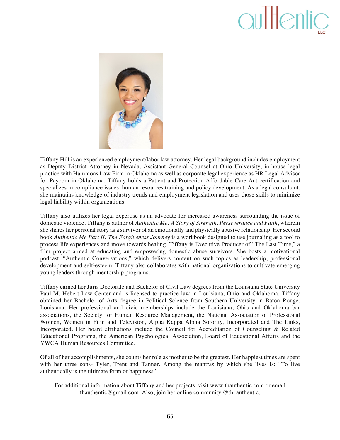## aultentic



Tiffany Hill is an experienced employment/labor law attorney. Her legal background includes employment as Deputy District Attorney in Nevada, Assistant General Counsel at Ohio University, in-house legal practice with Hammons Law Firm in Oklahoma as well as corporate legal experience as HR Legal Advisor for Paycom in Oklahoma. Tiffany holds a Patient and Protection Affordable Care Act certification and specializes in compliance issues, human resources training and policy development. As a legal consultant, she maintains knowledge of industry trends and employment legislation and uses those skills to minimize legal liability within organizations.

Tiffany also utilizes her legal expertise as an advocate for increased awareness surrounding the issue of domestic violence. Tiffany is author of *Authentic Me: A Story of Strength, Perseverance and Faith*, wherein she shares her personal story as a survivor of an emotionally and physically abusive relationship. Her second book *Authentic Me Part II: The Forgiveness Journey* is a workbook designed to use journaling as a tool to process life experiences and move towards healing. Tiffany is Executive Producer of "The Last Time," a film project aimed at educating and empowering domestic abuse survivors. She hosts a motivational podcast, "Authentic Conversations," which delivers content on such topics as leadership, professional development and self-esteem. Tiffany also collaborates with national organizations to cultivate emerging young leaders through mentorship programs.

Tiffany earned her Juris Doctorate and Bachelor of Civil Law degrees from the Louisiana State University Paul M. Hebert Law Center and is licensed to practice law in Louisiana, Ohio and Oklahoma. Tiffany obtained her Bachelor of Arts degree in Political Science from Southern University in Baton Rouge, Louisiana. Her professional and civic memberships include the Louisiana, Ohio and Oklahoma bar associations, the Society for Human Resource Management, the National Association of Professional Women, Women in Film and Television, Alpha Kappa Alpha Sorority, Incorporated and The Links, Incorporated. Her board affiliations include the Council for Accreditation of Counseling & Related Educational Programs, the American Psychological Association, Board of Educational Affairs and the YWCA Human Resources Committee.

Of all of her accomplishments, she counts her role as mother to be the greatest. Her happiest times are spent with her three sons- Tyler, Trent and Tanner. Among the mantras by which she lives is: "To live authentically is the ultimate form of happiness."

For additional information about Tiffany and her projects, visit www.thauthentic.com or email thauthentic@gmail.com. Also, join her online community @th\_authentic.